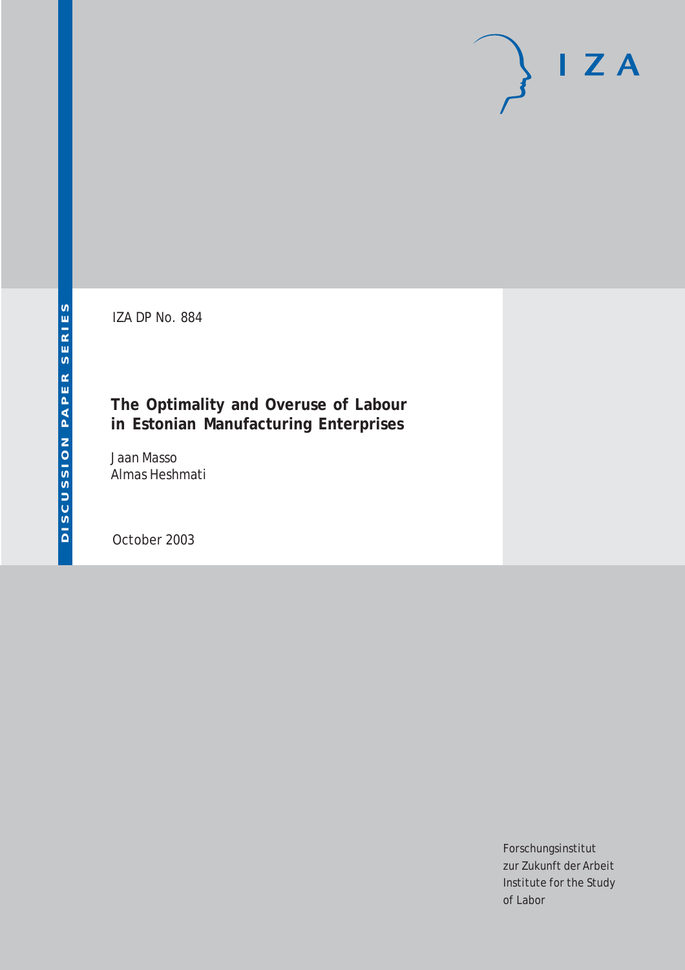# $I Z A$

IZA DP No. 884

## **The Optimality and Overuse of Labour in Estonian Manufacturing Enterprises**

Jaan Masso Almas Heshmati

October 2003

Forschungsinstitut zur Zukunft der Arbeit Institute for the Study of Labor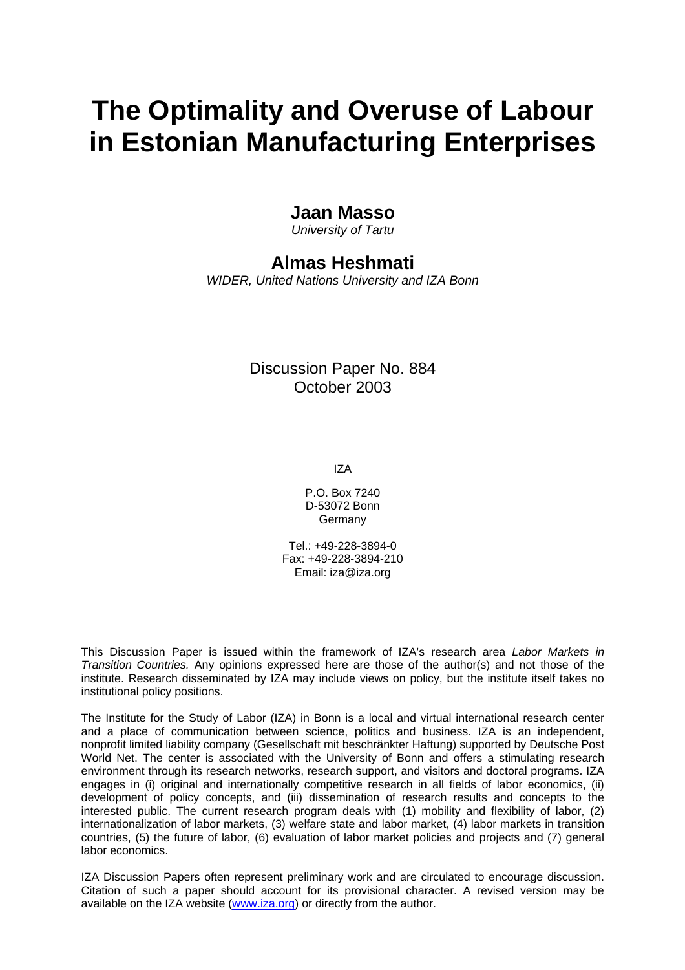# **The Optimality and Overuse of Labour in Estonian Manufacturing Enterprises**

### **Jaan Masso**

*University of Tartu* 

## **Almas Heshmati**

*WIDER, United Nations University and IZA Bonn* 

Discussion Paper No. 884 October 2003

IZA

P.O. Box 7240 D-53072 Bonn Germany

Tel.: +49-228-3894-0 Fax: +49-228-3894-210 Email: [iza@iza.org](mailto:iza@iza.org)

This Discussion Paper is issued within the framework of IZA's research area *Labor Markets in Transition Countries.* Any opinions expressed here are those of the author(s) and not those of the institute. Research disseminated by IZA may include views on policy, but the institute itself takes no institutional policy positions.

The Institute for the Study of Labor (IZA) in Bonn is a local and virtual international research center and a place of communication between science, politics and business. IZA is an independent, nonprofit limited liability company (Gesellschaft mit beschränkter Haftung) supported by Deutsche Post World Net. The center is associated with the University of Bonn and offers a stimulating research environment through its research networks, research support, and visitors and doctoral programs. IZA engages in (i) original and internationally competitive research in all fields of labor economics, (ii) development of policy concepts, and (iii) dissemination of research results and concepts to the interested public. The current research program deals with (1) mobility and flexibility of labor, (2) internationalization of labor markets, (3) welfare state and labor market, (4) labor markets in transition countries, (5) the future of labor, (6) evaluation of labor market policies and projects and (7) general labor economics.

IZA Discussion Papers often represent preliminary work and are circulated to encourage discussion. Citation of such a paper should account for its provisional character. A revised version may be available on the IZA website ([www.iza.org](http://www.iza.org/)) or directly from the author.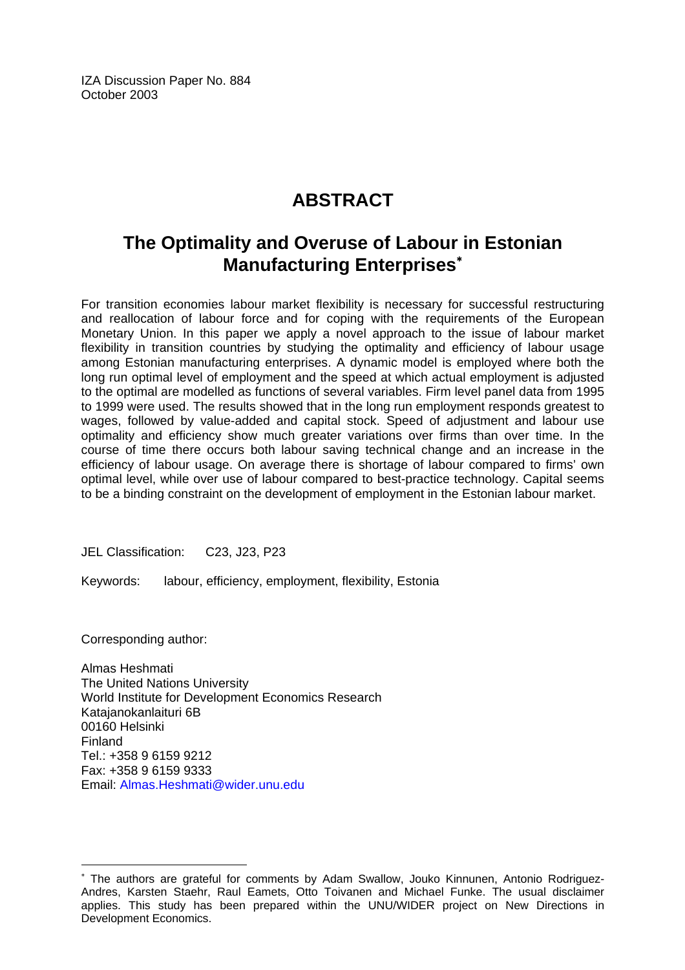IZA Discussion Paper No. 884 October 2003

## **ABSTRACT**

## **The Optimality and Overuse of Labour in Estonian Manufacturing Enterprises**[∗](#page-2-0)

For transition economies labour market flexibility is necessary for successful restructuring and reallocation of labour force and for coping with the requirements of the European Monetary Union. In this paper we apply a novel approach to the issue of labour market flexibility in transition countries by studying the optimality and efficiency of labour usage among Estonian manufacturing enterprises. A dynamic model is employed where both the long run optimal level of employment and the speed at which actual employment is adjusted to the optimal are modelled as functions of several variables. Firm level panel data from 1995 to 1999 were used. The results showed that in the long run employment responds greatest to wages, followed by value-added and capital stock. Speed of adjustment and labour use optimality and efficiency show much greater variations over firms than over time. In the course of time there occurs both labour saving technical change and an increase in the efficiency of labour usage. On average there is shortage of labour compared to firms' own optimal level, while over use of labour compared to best-practice technology. Capital seems to be a binding constraint on the development of employment in the Estonian labour market.

JEL Classification: C23, J23, P23

Keywords: labour, efficiency, employment, flexibility, Estonia

Corresponding author:

 $\overline{a}$ 

Almas Heshmati The United Nations University World Institute for Development Economics Research Katajanokanlaituri 6B 00160 Helsinki Finland Tel.: +358 9 6159 9212 Fax: +358 9 6159 9333 Email: [Almas.Heshmati@wider.unu.edu](mailto:Almas.Heshmati@wider.unu.edu)

<span id="page-2-0"></span><sup>∗</sup> The authors are grateful for comments by Adam Swallow, Jouko Kinnunen, Antonio Rodriguez-Andres, Karsten Staehr, Raul Eamets, Otto Toivanen and Michael Funke. The usual disclaimer applies. This study has been prepared within the UNU/WIDER project on New Directions in Development Economics.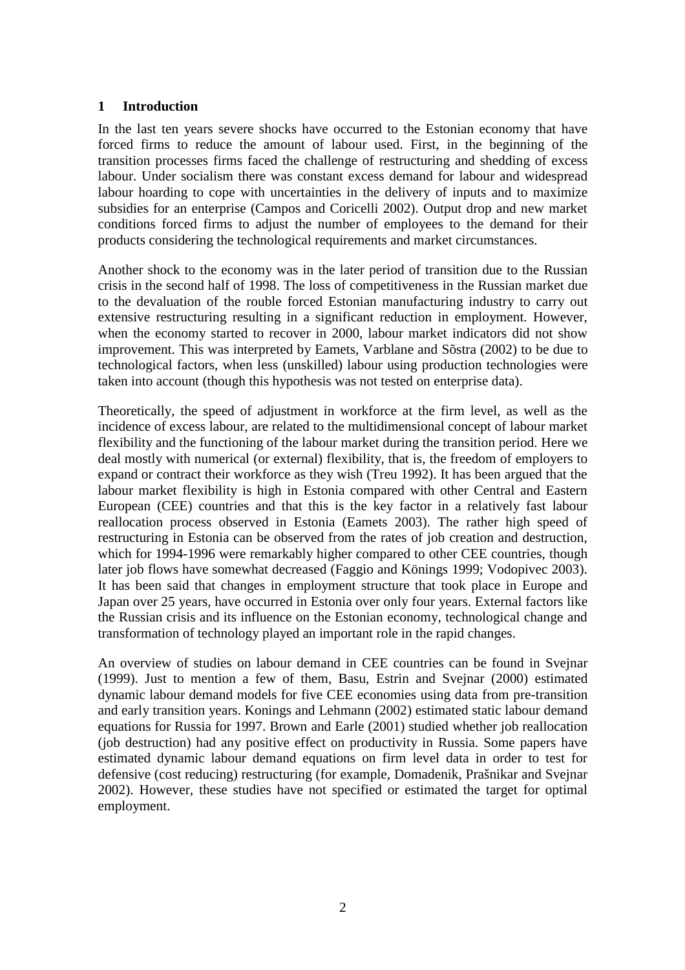#### **1 Introduction**

In the last ten years severe shocks have occurred to the Estonian economy that have forced firms to reduce the amount of labour used. First, in the beginning of the transition processes firms faced the challenge of restructuring and shedding of excess labour. Under socialism there was constant excess demand for labour and widespread labour hoarding to cope with uncertainties in the delivery of inputs and to maximize subsidies for an enterprise (Campos and Coricelli 2002). Output drop and new market conditions forced firms to adjust the number of employees to the demand for their products considering the technological requirements and market circumstances.

Another shock to the economy was in the later period of transition due to the Russian crisis in the second half of 1998. The loss of competitiveness in the Russian market due to the devaluation of the rouble forced Estonian manufacturing industry to carry out extensive restructuring resulting in a significant reduction in employment. However, when the economy started to recover in 2000, labour market indicators did not show improvement. This was interpreted by Eamets, Varblane and Sõstra (2002) to be due to technological factors, when less (unskilled) labour using production technologies were taken into account (though this hypothesis was not tested on enterprise data).

Theoretically, the speed of adjustment in workforce at the firm level, as well as the incidence of excess labour, are related to the multidimensional concept of labour market flexibility and the functioning of the labour market during the transition period. Here we deal mostly with numerical (or external) flexibility, that is, the freedom of employers to expand or contract their workforce as they wish (Treu 1992). It has been argued that the labour market flexibility is high in Estonia compared with other Central and Eastern European (CEE) countries and that this is the key factor in a relatively fast labour reallocation process observed in Estonia (Eamets 2003). The rather high speed of restructuring in Estonia can be observed from the rates of job creation and destruction, which for 1994-1996 were remarkably higher compared to other CEE countries, though later job flows have somewhat decreased (Faggio and Könings 1999; Vodopivec 2003). It has been said that changes in employment structure that took place in Europe and Japan over 25 years, have occurred in Estonia over only four years. External factors like the Russian crisis and its influence on the Estonian economy, technological change and transformation of technology played an important role in the rapid changes.

An overview of studies on labour demand in CEE countries can be found in Svejnar (1999). Just to mention a few of them, Basu, Estrin and Svejnar (2000) estimated dynamic labour demand models for five CEE economies using data from pre-transition and early transition years. Konings and Lehmann (2002) estimated static labour demand equations for Russia for 1997. Brown and Earle (2001) studied whether job reallocation (job destruction) had any positive effect on productivity in Russia. Some papers have estimated dynamic labour demand equations on firm level data in order to test for defensive (cost reducing) restructuring (for example, Domadenik, Prašnikar and Svejnar 2002). However, these studies have not specified or estimated the target for optimal employment.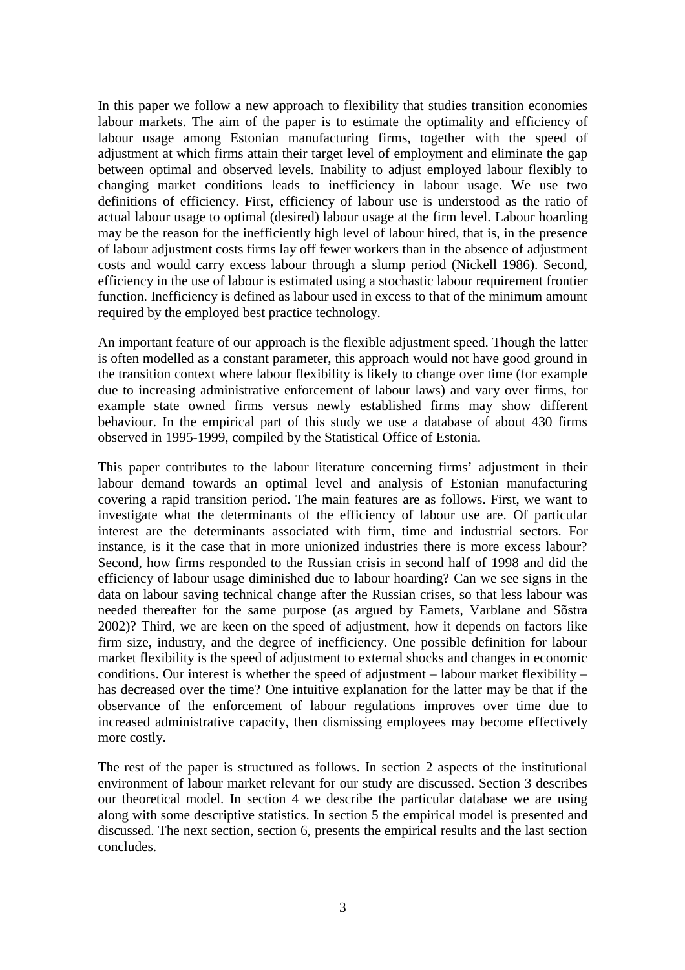In this paper we follow a new approach to flexibility that studies transition economies labour markets. The aim of the paper is to estimate the optimality and efficiency of labour usage among Estonian manufacturing firms, together with the speed of adjustment at which firms attain their target level of employment and eliminate the gap between optimal and observed levels. Inability to adjust employed labour flexibly to changing market conditions leads to inefficiency in labour usage. We use two definitions of efficiency. First, efficiency of labour use is understood as the ratio of actual labour usage to optimal (desired) labour usage at the firm level. Labour hoarding may be the reason for the inefficiently high level of labour hired, that is, in the presence of labour adjustment costs firms lay off fewer workers than in the absence of adjustment costs and would carry excess labour through a slump period (Nickell 1986). Second, efficiency in the use of labour is estimated using a stochastic labour requirement frontier function. Inefficiency is defined as labour used in excess to that of the minimum amount required by the employed best practice technology.

An important feature of our approach is the flexible adjustment speed. Though the latter is often modelled as a constant parameter, this approach would not have good ground in the transition context where labour flexibility is likely to change over time (for example due to increasing administrative enforcement of labour laws) and vary over firms, for example state owned firms versus newly established firms may show different behaviour. In the empirical part of this study we use a database of about 430 firms observed in 1995-1999, compiled by the Statistical Office of Estonia.

This paper contributes to the labour literature concerning firms' adjustment in their labour demand towards an optimal level and analysis of Estonian manufacturing covering a rapid transition period. The main features are as follows. First, we want to investigate what the determinants of the efficiency of labour use are. Of particular interest are the determinants associated with firm, time and industrial sectors. For instance, is it the case that in more unionized industries there is more excess labour? Second, how firms responded to the Russian crisis in second half of 1998 and did the efficiency of labour usage diminished due to labour hoarding? Can we see signs in the data on labour saving technical change after the Russian crises, so that less labour was needed thereafter for the same purpose (as argued by Eamets, Varblane and Sõstra 2002)? Third, we are keen on the speed of adjustment, how it depends on factors like firm size, industry, and the degree of inefficiency. One possible definition for labour market flexibility is the speed of adjustment to external shocks and changes in economic conditions. Our interest is whether the speed of adjustment – labour market flexibility – has decreased over the time? One intuitive explanation for the latter may be that if the observance of the enforcement of labour regulations improves over time due to increased administrative capacity, then dismissing employees may become effectively more costly.

The rest of the paper is structured as follows. In section 2 aspects of the institutional environment of labour market relevant for our study are discussed. Section 3 describes our theoretical model. In section 4 we describe the particular database we are using along with some descriptive statistics. In section 5 the empirical model is presented and discussed. The next section, section 6, presents the empirical results and the last section concludes.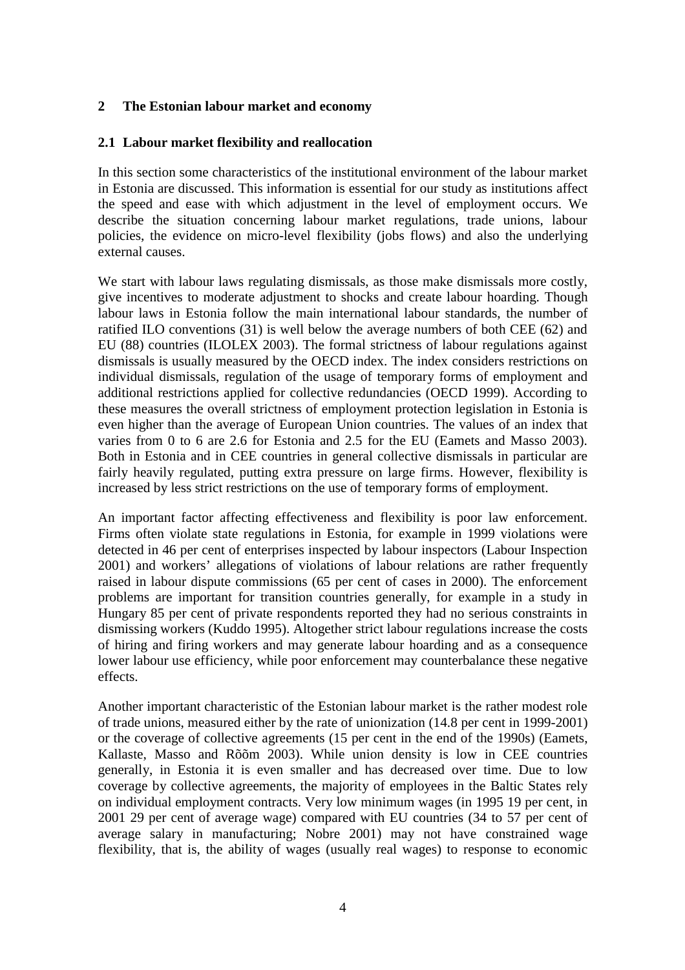#### **2 The Estonian labour market and economy**

#### **2.1 Labour market flexibility and reallocation**

In this section some characteristics of the institutional environment of the labour market in Estonia are discussed. This information is essential for our study as institutions affect the speed and ease with which adjustment in the level of employment occurs. We describe the situation concerning labour market regulations, trade unions, labour policies, the evidence on micro-level flexibility (jobs flows) and also the underlying external causes.

We start with labour laws regulating dismissals, as those make dismissals more costly, give incentives to moderate adjustment to shocks and create labour hoarding. Though labour laws in Estonia follow the main international labour standards, the number of ratified ILO conventions (31) is well below the average numbers of both CEE (62) and EU (88) countries (ILOLEX 2003). The formal strictness of labour regulations against dismissals is usually measured by the OECD index. The index considers restrictions on individual dismissals, regulation of the usage of temporary forms of employment and additional restrictions applied for collective redundancies (OECD 1999). According to these measures the overall strictness of employment protection legislation in Estonia is even higher than the average of European Union countries. The values of an index that varies from 0 to 6 are 2.6 for Estonia and 2.5 for the EU (Eamets and Masso 2003). Both in Estonia and in CEE countries in general collective dismissals in particular are fairly heavily regulated, putting extra pressure on large firms. However, flexibility is increased by less strict restrictions on the use of temporary forms of employment.

An important factor affecting effectiveness and flexibility is poor law enforcement. Firms often violate state regulations in Estonia, for example in 1999 violations were detected in 46 per cent of enterprises inspected by labour inspectors (Labour Inspection 2001) and workers' allegations of violations of labour relations are rather frequently raised in labour dispute commissions (65 per cent of cases in 2000). The enforcement problems are important for transition countries generally, for example in a study in Hungary 85 per cent of private respondents reported they had no serious constraints in dismissing workers (Kuddo 1995). Altogether strict labour regulations increase the costs of hiring and firing workers and may generate labour hoarding and as a consequence lower labour use efficiency, while poor enforcement may counterbalance these negative effects.

Another important characteristic of the Estonian labour market is the rather modest role of trade unions, measured either by the rate of unionization (14.8 per cent in 1999-2001) or the coverage of collective agreements (15 per cent in the end of the 1990s) (Eamets, Kallaste, Masso and Rõõm 2003). While union density is low in CEE countries generally, in Estonia it is even smaller and has decreased over time. Due to low coverage by collective agreements, the majority of employees in the Baltic States rely on individual employment contracts. Very low minimum wages (in 1995 19 per cent, in 2001 29 per cent of average wage) compared with EU countries (34 to 57 per cent of average salary in manufacturing; Nobre 2001) may not have constrained wage flexibility, that is, the ability of wages (usually real wages) to response to economic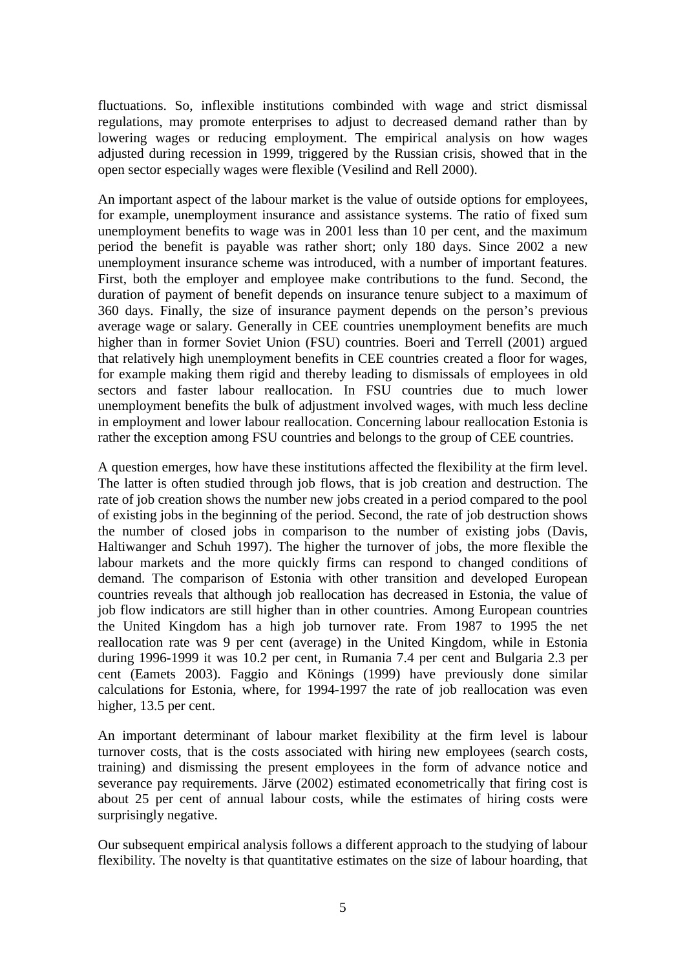fluctuations. So, inflexible institutions combinded with wage and strict dismissal regulations, may promote enterprises to adjust to decreased demand rather than by lowering wages or reducing employment. The empirical analysis on how wages adjusted during recession in 1999, triggered by the Russian crisis, showed that in the open sector especially wages were flexible (Vesilind and Rell 2000).

An important aspect of the labour market is the value of outside options for employees, for example, unemployment insurance and assistance systems. The ratio of fixed sum unemployment benefits to wage was in 2001 less than 10 per cent, and the maximum period the benefit is payable was rather short; only 180 days. Since 2002 a new unemployment insurance scheme was introduced, with a number of important features. First, both the employer and employee make contributions to the fund. Second, the duration of payment of benefit depends on insurance tenure subject to a maximum of 360 days. Finally, the size of insurance payment depends on the person's previous average wage or salary. Generally in CEE countries unemployment benefits are much higher than in former Soviet Union (FSU) countries. Boeri and Terrell (2001) argued that relatively high unemployment benefits in CEE countries created a floor for wages, for example making them rigid and thereby leading to dismissals of employees in old sectors and faster labour reallocation. In FSU countries due to much lower unemployment benefits the bulk of adjustment involved wages, with much less decline in employment and lower labour reallocation. Concerning labour reallocation Estonia is rather the exception among FSU countries and belongs to the group of CEE countries.

A question emerges, how have these institutions affected the flexibility at the firm level. The latter is often studied through job flows, that is job creation and destruction. The rate of job creation shows the number new jobs created in a period compared to the pool of existing jobs in the beginning of the period. Second, the rate of job destruction shows the number of closed jobs in comparison to the number of existing jobs (Davis, Haltiwanger and Schuh 1997). The higher the turnover of jobs, the more flexible the labour markets and the more quickly firms can respond to changed conditions of demand. The comparison of Estonia with other transition and developed European countries reveals that although job reallocation has decreased in Estonia, the value of job flow indicators are still higher than in other countries. Among European countries the United Kingdom has a high job turnover rate. From 1987 to 1995 the net reallocation rate was 9 per cent (average) in the United Kingdom, while in Estonia during 1996-1999 it was 10.2 per cent, in Rumania 7.4 per cent and Bulgaria 2.3 per cent (Eamets 2003). Faggio and Könings (1999) have previously done similar calculations for Estonia, where, for 1994-1997 the rate of job reallocation was even higher, 13.5 per cent.

An important determinant of labour market flexibility at the firm level is labour turnover costs, that is the costs associated with hiring new employees (search costs, training) and dismissing the present employees in the form of advance notice and severance pay requirements. Järve (2002) estimated econometrically that firing cost is about 25 per cent of annual labour costs, while the estimates of hiring costs were surprisingly negative.

Our subsequent empirical analysis follows a different approach to the studying of labour flexibility. The novelty is that quantitative estimates on the size of labour hoarding, that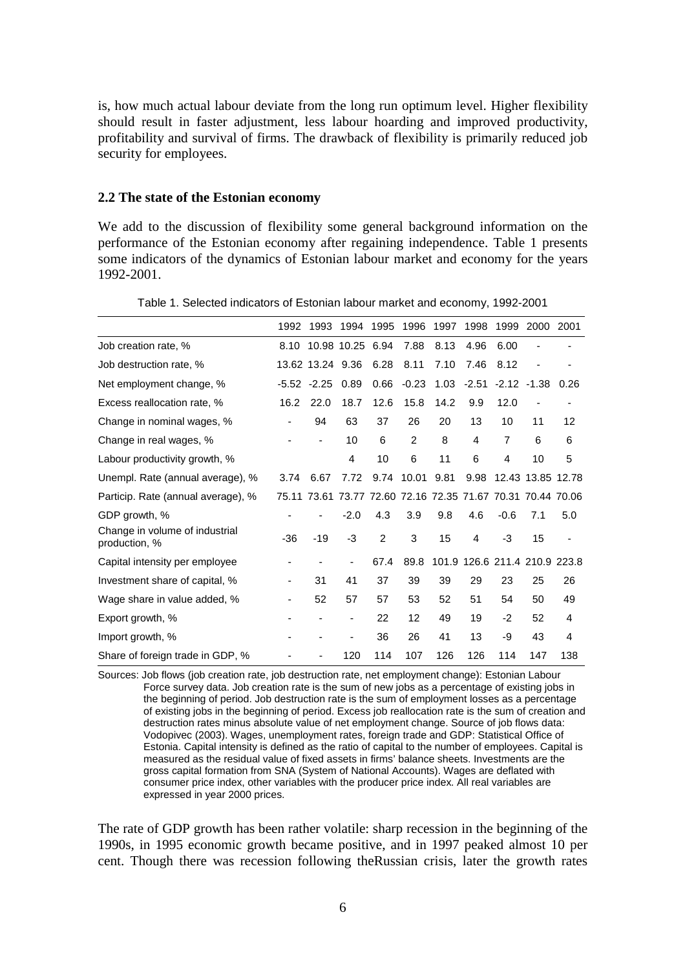is, how much actual labour deviate from the long run optimum level. Higher flexibility should result in faster adjustment, less labour hoarding and improved productivity, profitability and survival of firms. The drawback of flexibility is primarily reduced job security for employees.

#### **2.2 The state of the Estonian economy**

We add to the discussion of flexibility some general background information on the performance of the Estonian economy after regaining independence. Table 1 presents some indicators of the dynamics of Estonian labour market and economy for the years 1992-2001.

|                                                 | 1992  | 1993             | 1994        | 1995           | 1996    | 1997 | 1998    | 1999           | 2000                                                        | 2001 |
|-------------------------------------------------|-------|------------------|-------------|----------------|---------|------|---------|----------------|-------------------------------------------------------------|------|
| Job creation rate, %                            | 8.10  |                  | 10.98 10.25 | 6.94           | 7.88    | 8.13 | 4.96    | 6.00           |                                                             |      |
| Job destruction rate, %                         |       | 13.62 13.24 9.36 |             | 6.28           | 8.11    | 7.10 | 7.46    | 8.12           |                                                             |      |
| Net employment change, %                        |       | $-5.52 -2.25$    | 0.89        | 0.66           | $-0.23$ | 1.03 | $-2.51$ | $-2.12$        | $-1.38$                                                     | 0.26 |
| Excess reallocation rate, %                     | 16.2  | 22.0             | 18.7        | 12.6           | 15.8    | 14.2 | 9.9     | 12.0           |                                                             |      |
| Change in nominal wages, %                      |       | 94               | 63          | 37             | 26      | 20   | 13      | 10             | 11                                                          | 12   |
| Change in real wages, %                         |       | -                | 10          | 6              | 2       | 8    | 4       | $\overline{7}$ | 6                                                           | 6    |
| Labour productivity growth, %                   |       |                  | 4           | 10             | 6       | 11   | 6       | 4              | 10                                                          | 5    |
| Unempl. Rate (annual average), %                | 3.74  | 6.67             | 7.72        | 9.74           | 10.01   | 9.81 | 9.98    |                | 12.43 13.85 12.78                                           |      |
| Particip. Rate (annual average), %              |       |                  |             |                |         |      |         |                | 75.11 73.61 73.77 72.60 72.16 72.35 71.67 70.31 70.44 70.06 |      |
| GDP growth, %                                   |       |                  | $-2.0$      | 4.3            | 3.9     | 9.8  | 4.6     | $-0.6$         | 7.1                                                         | 5.0  |
| Change in volume of industrial<br>production, % | $-36$ | $-19$            | $-3$        | $\overline{2}$ | 3       | 15   | 4       | -3             | 15                                                          |      |
| Capital intensity per employee                  |       |                  |             | 67.4           | 89.8    |      |         |                | 101.9 126.6 211.4 210.9 223.8                               |      |
| Investment share of capital, %                  | -     | 31               | 41          | 37             | 39      | 39   | 29      | 23             | 25                                                          | 26   |
| Wage share in value added, %                    |       | 52               | 57          | 57             | 53      | 52   | 51      | 54             | 50                                                          | 49   |
| Export growth, %                                |       |                  | -           | 22             | 12      | 49   | 19      | $-2$           | 52                                                          | 4    |
| Import growth, %                                |       |                  |             | 36             | 26      | 41   | 13      | -9             | 43                                                          | 4    |
| Share of foreign trade in GDP, %                |       |                  | 120         | 114            | 107     | 126  | 126     | 114            | 147                                                         | 138  |

Table 1. Selected indicators of Estonian labour market and economy, 1992-2001

Sources: Job flows (job creation rate, job destruction rate, net employment change): Estonian Labour Force survey data. Job creation rate is the sum of new jobs as a percentage of existing jobs in the beginning of period. Job destruction rate is the sum of employment losses as a percentage of existing jobs in the beginning of period. Excess job reallocation rate is the sum of creation and destruction rates minus absolute value of net employment change. Source of job flows data: Vodopivec (2003). Wages, unemployment rates, foreign trade and GDP: Statistical Office of Estonia. Capital intensity is defined as the ratio of capital to the number of employees. Capital is measured as the residual value of fixed assets in firms' balance sheets. Investments are the gross capital formation from SNA (System of National Accounts). Wages are deflated with consumer price index, other variables with the producer price index. All real variables are expressed in year 2000 prices.

The rate of GDP growth has been rather volatile: sharp recession in the beginning of the 1990s, in 1995 economic growth became positive, and in 1997 peaked almost 10 per cent. Though there was recession following theRussian crisis, later the growth rates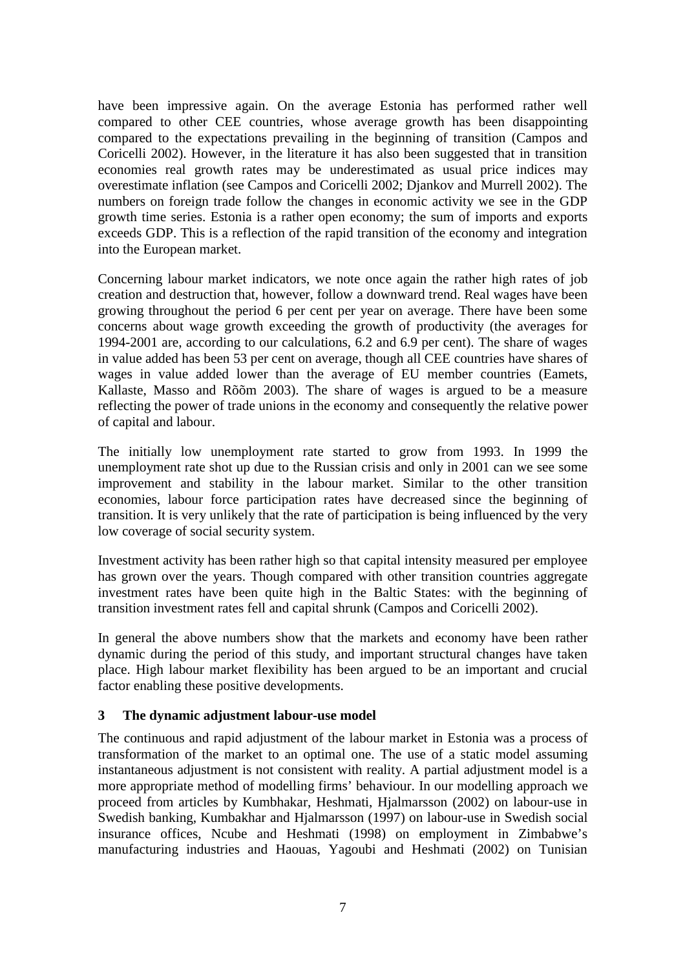have been impressive again. On the average Estonia has performed rather well compared to other CEE countries, whose average growth has been disappointing compared to the expectations prevailing in the beginning of transition (Campos and Coricelli 2002). However, in the literature it has also been suggested that in transition economies real growth rates may be underestimated as usual price indices may overestimate inflation (see Campos and Coricelli 2002; Djankov and Murrell 2002). The numbers on foreign trade follow the changes in economic activity we see in the GDP growth time series. Estonia is a rather open economy; the sum of imports and exports exceeds GDP. This is a reflection of the rapid transition of the economy and integration into the European market.

Concerning labour market indicators, we note once again the rather high rates of job creation and destruction that, however, follow a downward trend. Real wages have been growing throughout the period 6 per cent per year on average. There have been some concerns about wage growth exceeding the growth of productivity (the averages for 1994-2001 are, according to our calculations, 6.2 and 6.9 per cent). The share of wages in value added has been 53 per cent on average, though all CEE countries have shares of wages in value added lower than the average of EU member countries (Eamets, Kallaste, Masso and Rõõm 2003). The share of wages is argued to be a measure reflecting the power of trade unions in the economy and consequently the relative power of capital and labour.

The initially low unemployment rate started to grow from 1993. In 1999 the unemployment rate shot up due to the Russian crisis and only in 2001 can we see some improvement and stability in the labour market. Similar to the other transition economies, labour force participation rates have decreased since the beginning of transition. It is very unlikely that the rate of participation is being influenced by the very low coverage of social security system.

Investment activity has been rather high so that capital intensity measured per employee has grown over the years. Though compared with other transition countries aggregate investment rates have been quite high in the Baltic States: with the beginning of transition investment rates fell and capital shrunk (Campos and Coricelli 2002).

In general the above numbers show that the markets and economy have been rather dynamic during the period of this study, and important structural changes have taken place. High labour market flexibility has been argued to be an important and crucial factor enabling these positive developments.

#### **3 The dynamic adjustment labour-use model**

The continuous and rapid adjustment of the labour market in Estonia was a process of transformation of the market to an optimal one. The use of a static model assuming instantaneous adjustment is not consistent with reality. A partial adjustment model is a more appropriate method of modelling firms' behaviour. In our modelling approach we proceed from articles by Kumbhakar, Heshmati, Hjalmarsson (2002) on labour-use in Swedish banking, Kumbakhar and Hjalmarsson (1997) on labour-use in Swedish social insurance offices, Ncube and Heshmati (1998) on employment in Zimbabwe's manufacturing industries and Haouas, Yagoubi and Heshmati (2002) on Tunisian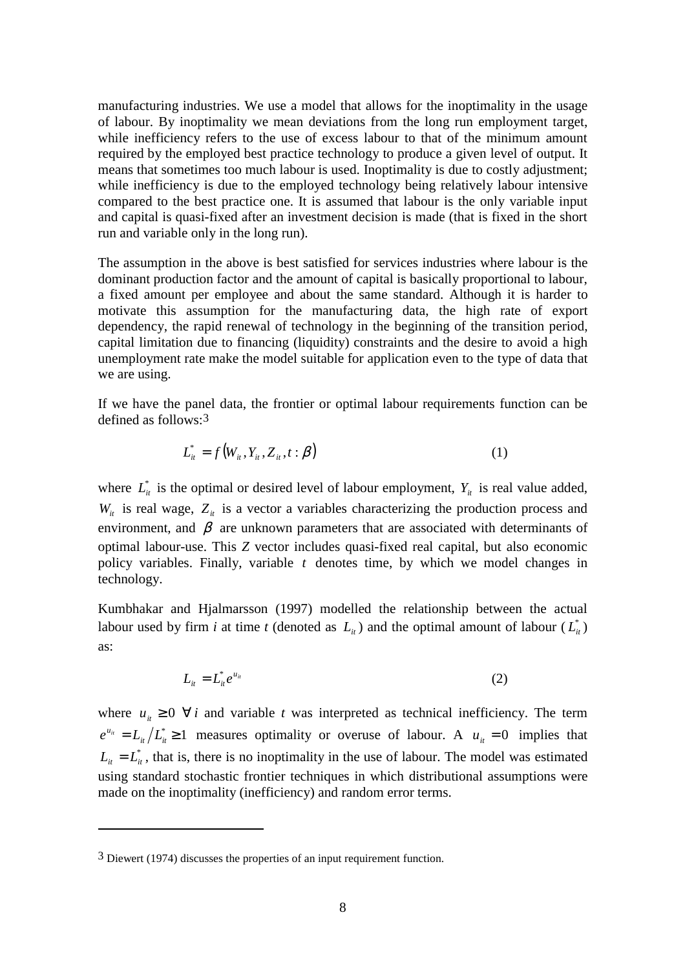manufacturing industries. We use a model that allows for the inoptimality in the usage of labour. By inoptimality we mean deviations from the long run employment target, while inefficiency refers to the use of excess labour to that of the minimum amount required by the employed best practice technology to produce a given level of output. It means that sometimes too much labour is used. Inoptimality is due to costly adjustment; while inefficiency is due to the employed technology being relatively labour intensive compared to the best practice one. It is assumed that labour is the only variable input and capital is quasi-fixed after an investment decision is made (that is fixed in the short run and variable only in the long run).

The assumption in the above is best satisfied for services industries where labour is the dominant production factor and the amount of capital is basically proportional to labour, a fixed amount per employee and about the same standard. Although it is harder to motivate this assumption for the manufacturing data, the high rate of export dependency, the rapid renewal of technology in the beginning of the transition period, capital limitation due to financing (liquidity) constraints and the desire to avoid a high unemployment rate make the model suitable for application even to the type of data that we are using.

If we have the panel data, the frontier or optimal labour requirements function can be defined as follows:3

$$
L_{it}^* = f(W_{it}, Y_{it}, Z_{it}, t : \beta)
$$
\n<sup>(1)</sup>

where  $L_{it}^{*}$  is the optimal or desired level of labour employment,  $Y_{it}$  is real value added,  $W_{it}$  is real wage,  $Z_{it}$  is a vector a variables characterizing the production process and environment, and  $\beta$  are unknown parameters that are associated with determinants of optimal labour-use. This *Z* vector includes quasi-fixed real capital, but also economic policy variables. Finally, variable *t* denotes time, by which we model changes in technology.

Kumbhakar and Hjalmarsson (1997) modelled the relationship between the actual labour used by firm *i* at time *t* (denoted as  $L_i$ ) and the optimal amount of labour  $(L_i^*)$ as:

$$
L_{it} = L_{it}^* e^{u_{it}} \tag{2}
$$

where  $u_{it} \geq 0$   $\forall i$  and variable *t* was interpreted as technical inefficiency. The term  $e^{u_{it}} = L_{it}/L_{it}^{*} \ge 1$  measures optimality or overuse of labour. A  $u_{it} = 0$  implies that  $L_{it} = L_{it}^{*}$ , that is, there is no inoptimality in the use of labour. The model was estimated using standard stochastic frontier techniques in which distributional assumptions were made on the inoptimality (inefficiency) and random error terms.

<sup>3</sup> Diewert (1974) discusses the properties of an input requirement function.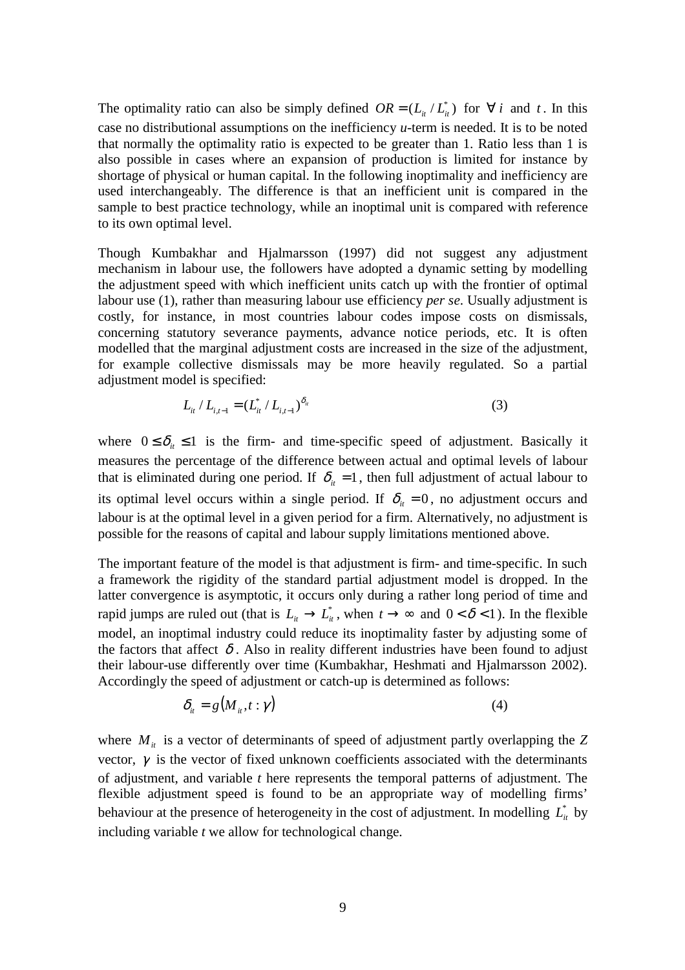The optimality ratio can also be simply defined  $OR = (L_i / L_{i}^*)$  for  $\forall i$  and t. In this case no distributional assumptions on the inefficiency *u*-term is needed. It is to be noted that normally the optimality ratio is expected to be greater than 1. Ratio less than 1 is also possible in cases where an expansion of production is limited for instance by shortage of physical or human capital. In the following inoptimality and inefficiency are used interchangeably. The difference is that an inefficient unit is compared in the sample to best practice technology, while an inoptimal unit is compared with reference to its own optimal level.

Though Kumbakhar and Hjalmarsson (1997) did not suggest any adjustment mechanism in labour use, the followers have adopted a dynamic setting by modelling the adjustment speed with which inefficient units catch up with the frontier of optimal labour use (1), rather than measuring labour use efficiency *per se*. Usually adjustment is costly, for instance, in most countries labour codes impose costs on dismissals, concerning statutory severance payments, advance notice periods, etc. It is often modelled that the marginal adjustment costs are increased in the size of the adjustment, for example collective dismissals may be more heavily regulated. So a partial adjustment model is specified:

$$
L_{it} / L_{i,t-1} = (L_{it}^* / L_{i,t-1})^{\delta_{it}}
$$
\n(3)

where  $0 \le \delta_i \le 1$  is the firm- and time-specific speed of adjustment. Basically it measures the percentage of the difference between actual and optimal levels of labour that is eliminated during one period. If  $\delta_i = 1$ , then full adjustment of actual labour to its optimal level occurs within a single period. If  $\delta_{it} = 0$ , no adjustment occurs and labour is at the optimal level in a given period for a firm. Alternatively, no adjustment is possible for the reasons of capital and labour supply limitations mentioned above.

The important feature of the model is that adjustment is firm- and time-specific. In such a framework the rigidity of the standard partial adjustment model is dropped. In the latter convergence is asymptotic, it occurs only during a rather long period of time and rapid jumps are ruled out (that is  $L_{it} \to L_{it}^*$ , when  $t \to \infty$  and  $0 < \delta < 1$ ). In the flexible model, an inoptimal industry could reduce its inoptimality faster by adjusting some of the factors that affect  $\delta$ . Also in reality different industries have been found to adjust their labour-use differently over time (Kumbakhar, Heshmati and Hjalmarsson 2002). Accordingly the speed of adjustment or catch-up is determined as follows:

$$
\delta_{it} = g(M_{it}, t : \gamma) \tag{4}
$$

where  $M_{it}$  is a vector of determinants of speed of adjustment partly overlapping the  $Z$ vector,  $\gamma$  is the vector of fixed unknown coefficients associated with the determinants of adjustment, and variable *t* here represents the temporal patterns of adjustment. The flexible adjustment speed is found to be an appropriate way of modelling firms' behaviour at the presence of heterogeneity in the cost of adjustment. In modelling  $L^*_{\alpha}$  by including variable *t* we allow for technological change.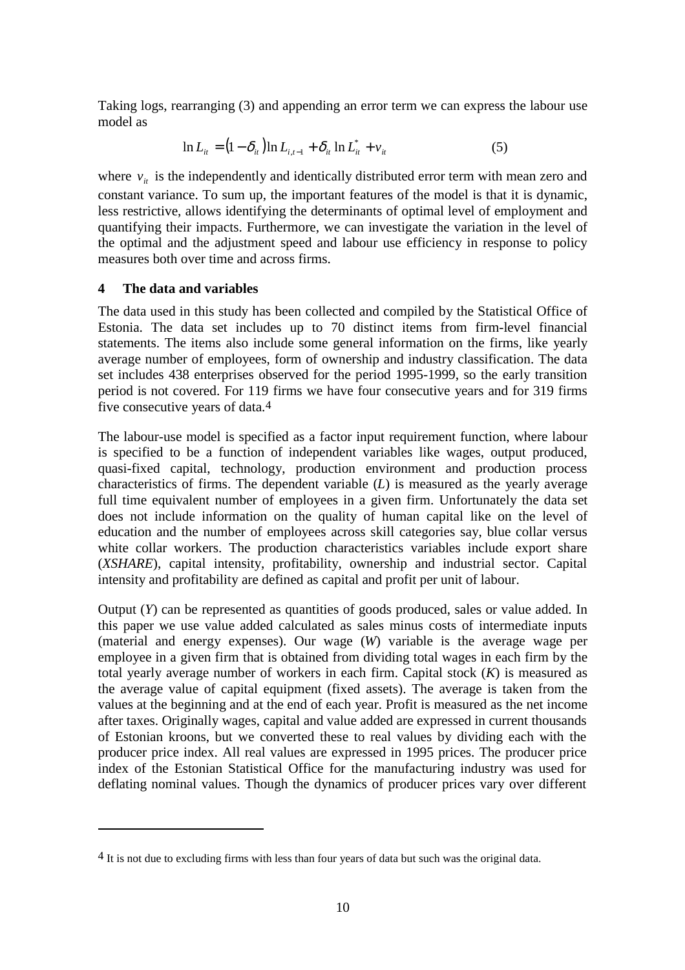Taking logs, rearranging (3) and appending an error term we can express the labour use model as

$$
\ln L_{ii} = (1 - \delta_{ii}) \ln L_{i, t-1} + \delta_{ii} \ln L_{ii}^* + v_{ii}
$$
 (5)

where  $v_{i}$  is the independently and identically distributed error term with mean zero and constant variance. To sum up, the important features of the model is that it is dynamic, less restrictive, allows identifying the determinants of optimal level of employment and quantifying their impacts. Furthermore, we can investigate the variation in the level of the optimal and the adjustment speed and labour use efficiency in response to policy measures both over time and across firms.

#### **4 The data and variables**

The data used in this study has been collected and compiled by the Statistical Office of Estonia. The data set includes up to 70 distinct items from firm-level financial statements. The items also include some general information on the firms, like yearly average number of employees, form of ownership and industry classification. The data set includes 438 enterprises observed for the period 1995-1999, so the early transition period is not covered. For 119 firms we have four consecutive years and for 319 firms five consecutive years of data.4

The labour-use model is specified as a factor input requirement function, where labour is specified to be a function of independent variables like wages, output produced, quasi-fixed capital, technology, production environment and production process characteristics of firms. The dependent variable (*L*) is measured as the yearly average full time equivalent number of employees in a given firm. Unfortunately the data set does not include information on the quality of human capital like on the level of education and the number of employees across skill categories say, blue collar versus white collar workers. The production characteristics variables include export share (*XSHARE*), capital intensity, profitability, ownership and industrial sector. Capital intensity and profitability are defined as capital and profit per unit of labour.

Output (*Y*) can be represented as quantities of goods produced, sales or value added. In this paper we use value added calculated as sales minus costs of intermediate inputs (material and energy expenses). Our wage (*W*) variable is the average wage per employee in a given firm that is obtained from dividing total wages in each firm by the total yearly average number of workers in each firm. Capital stock (*K*) is measured as the average value of capital equipment (fixed assets). The average is taken from the values at the beginning and at the end of each year. Profit is measured as the net income after taxes. Originally wages, capital and value added are expressed in current thousands of Estonian kroons, but we converted these to real values by dividing each with the producer price index. All real values are expressed in 1995 prices. The producer price index of the Estonian Statistical Office for the manufacturing industry was used for deflating nominal values. Though the dynamics of producer prices vary over different

<sup>4</sup> It is not due to excluding firms with less than four years of data but such was the original data.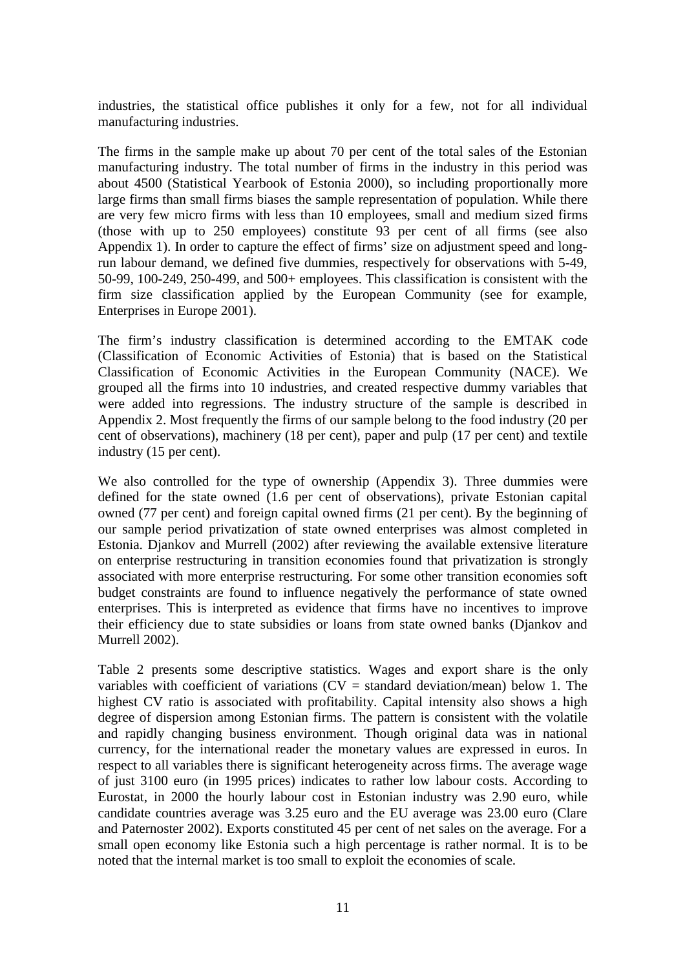industries, the statistical office publishes it only for a few, not for all individual manufacturing industries.

The firms in the sample make up about 70 per cent of the total sales of the Estonian manufacturing industry. The total number of firms in the industry in this period was about 4500 (Statistical Yearbook of Estonia 2000), so including proportionally more large firms than small firms biases the sample representation of population. While there are very few micro firms with less than 10 employees, small and medium sized firms (those with up to 250 employees) constitute 93 per cent of all firms (see also Appendix 1). In order to capture the effect of firms' size on adjustment speed and longrun labour demand, we defined five dummies, respectively for observations with 5-49, 50-99, 100-249, 250-499, and 500+ employees. This classification is consistent with the firm size classification applied by the European Community (see for example, Enterprises in Europe 2001).

The firm's industry classification is determined according to the EMTAK code (Classification of Economic Activities of Estonia) that is based on the Statistical Classification of Economic Activities in the European Community (NACE). We grouped all the firms into 10 industries, and created respective dummy variables that were added into regressions. The industry structure of the sample is described in Appendix 2. Most frequently the firms of our sample belong to the food industry (20 per cent of observations), machinery (18 per cent), paper and pulp (17 per cent) and textile industry (15 per cent).

We also controlled for the type of ownership (Appendix 3). Three dummies were defined for the state owned (1.6 per cent of observations), private Estonian capital owned (77 per cent) and foreign capital owned firms (21 per cent). By the beginning of our sample period privatization of state owned enterprises was almost completed in Estonia. Djankov and Murrell (2002) after reviewing the available extensive literature on enterprise restructuring in transition economies found that privatization is strongly associated with more enterprise restructuring. For some other transition economies soft budget constraints are found to influence negatively the performance of state owned enterprises. This is interpreted as evidence that firms have no incentives to improve their efficiency due to state subsidies or loans from state owned banks (Djankov and Murrell 2002).

Table 2 presents some descriptive statistics. Wages and export share is the only variables with coefficient of variations  $(CV = standard deviation/mean)$  below 1. The highest CV ratio is associated with profitability. Capital intensity also shows a high degree of dispersion among Estonian firms. The pattern is consistent with the volatile and rapidly changing business environment. Though original data was in national currency, for the international reader the monetary values are expressed in euros. In respect to all variables there is significant heterogeneity across firms. The average wage of just 3100 euro (in 1995 prices) indicates to rather low labour costs. According to Eurostat, in 2000 the hourly labour cost in Estonian industry was 2.90 euro, while candidate countries average was 3.25 euro and the EU average was 23.00 euro (Clare and Paternoster 2002). Exports constituted 45 per cent of net sales on the average. For a small open economy like Estonia such a high percentage is rather normal. It is to be noted that the internal market is too small to exploit the economies of scale.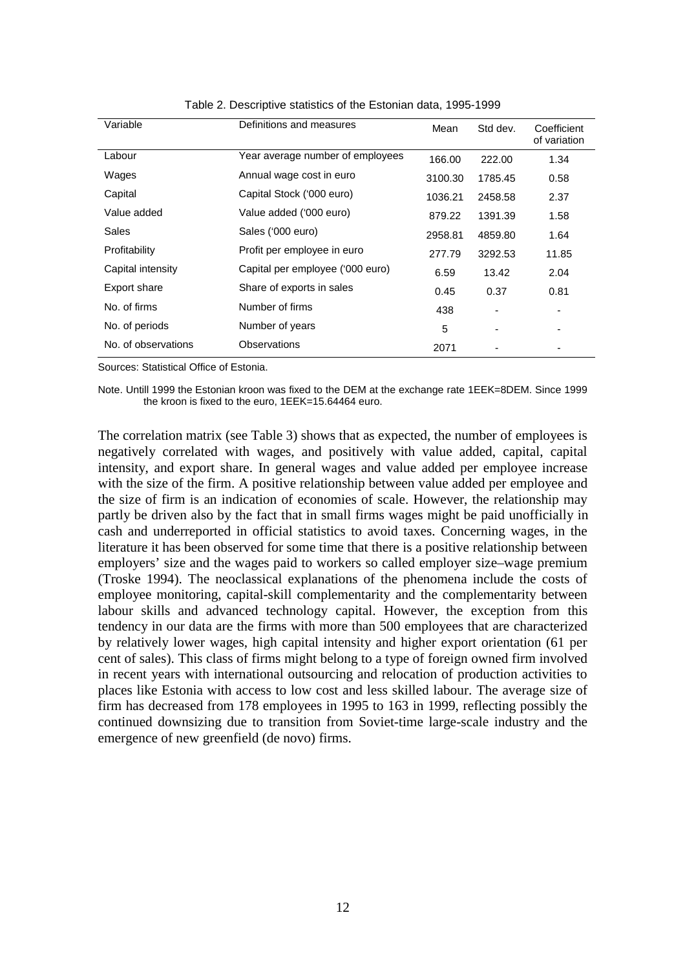| Variable            | Definitions and measures         | Mean    | Std dev. | Coefficient<br>of variation |
|---------------------|----------------------------------|---------|----------|-----------------------------|
| Labour              | Year average number of employees | 166.00  | 222.00   | 1.34                        |
| Wages               | Annual wage cost in euro         | 3100.30 | 1785.45  | 0.58                        |
| Capital             | Capital Stock ('000 euro)        | 1036.21 | 2458.58  | 2.37                        |
| Value added         | Value added ('000 euro)          | 879.22  | 1391.39  | 1.58                        |
| Sales               | Sales ('000 euro)                | 2958.81 | 4859.80  | 1.64                        |
| Profitability       | Profit per employee in euro      | 277.79  | 3292.53  | 11.85                       |
| Capital intensity   | Capital per employee ('000 euro) | 6.59    | 13.42    | 2.04                        |
| Export share        | Share of exports in sales        | 0.45    | 0.37     | 0.81                        |
| No. of firms        | Number of firms                  | 438     |          |                             |
| No. of periods      | Number of years                  | 5       |          |                             |
| No. of observations | Observations                     | 2071    |          |                             |

#### Table 2. Descriptive statistics of the Estonian data, 1995-1999

Sources: Statistical Office of Estonia.

Note. Untill 1999 the Estonian kroon was fixed to the DEM at the exchange rate 1EEK=8DEM. Since 1999 the kroon is fixed to the euro, 1EEK=15.64464 euro.

The correlation matrix (see Table 3) shows that as expected, the number of employees is negatively correlated with wages, and positively with value added, capital, capital intensity, and export share. In general wages and value added per employee increase with the size of the firm. A positive relationship between value added per employee and the size of firm is an indication of economies of scale. However, the relationship may partly be driven also by the fact that in small firms wages might be paid unofficially in cash and underreported in official statistics to avoid taxes. Concerning wages, in the literature it has been observed for some time that there is a positive relationship between employers' size and the wages paid to workers so called employer size–wage premium (Troske 1994). The neoclassical explanations of the phenomena include the costs of employee monitoring, capital-skill complementarity and the complementarity between labour skills and advanced technology capital. However, the exception from this tendency in our data are the firms with more than 500 employees that are characterized by relatively lower wages, high capital intensity and higher export orientation (61 per cent of sales). This class of firms might belong to a type of foreign owned firm involved in recent years with international outsourcing and relocation of production activities to places like Estonia with access to low cost and less skilled labour. The average size of firm has decreased from 178 employees in 1995 to 163 in 1999, reflecting possibly the continued downsizing due to transition from Soviet-time large-scale industry and the emergence of new greenfield (de novo) firms.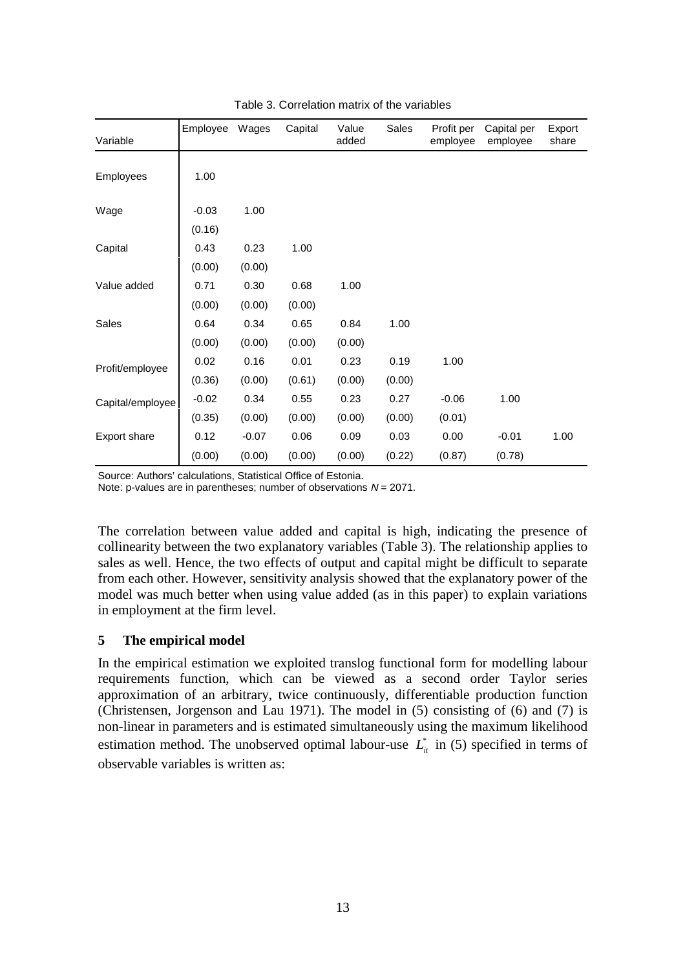| Variable         | Employee | Wages   | Capital | Value<br>added | Sales  | Profit per<br>employee | Capital per<br>employee | Export<br>share |
|------------------|----------|---------|---------|----------------|--------|------------------------|-------------------------|-----------------|
| Employees        | 1.00     |         |         |                |        |                        |                         |                 |
| Wage             | $-0.03$  | 1.00    |         |                |        |                        |                         |                 |
|                  | (0.16)   |         |         |                |        |                        |                         |                 |
| Capital          | 0.43     | 0.23    | 1.00    |                |        |                        |                         |                 |
|                  | (0.00)   | (0.00)  |         |                |        |                        |                         |                 |
| Value added      | 0.71     | 0.30    | 0.68    | 1.00           |        |                        |                         |                 |
|                  | (0.00)   | (0.00)  | (0.00)  |                |        |                        |                         |                 |
| Sales            | 0.64     | 0.34    | 0.65    | 0.84           | 1.00   |                        |                         |                 |
|                  | (0.00)   | (0.00)  | (0.00)  | (0.00)         |        |                        |                         |                 |
| Profit/employee  | 0.02     | 0.16    | 0.01    | 0.23           | 0.19   | 1.00                   |                         |                 |
|                  | (0.36)   | (0.00)  | (0.61)  | (0.00)         | (0.00) |                        |                         |                 |
| Capital/employee | $-0.02$  | 0.34    | 0.55    | 0.23           | 0.27   | $-0.06$                | 1.00                    |                 |
|                  | (0.35)   | (0.00)  | (0.00)  | (0.00)         | (0.00) | (0.01)                 |                         |                 |
| Export share     | 0.12     | $-0.07$ | 0.06    | 0.09           | 0.03   | 0.00                   | $-0.01$                 | 1.00            |
|                  | (0.00)   | (0.00)  | (0.00)  | (0.00)         | (0.22) | (0.87)                 | (0.78)                  |                 |

Table 3. Correlation matrix of the variables

Source: Authors' calculations, Statistical Office of Estonia.

Note: p-values are in parentheses; number of observations  $N = 2071$ .

The correlation between value added and capital is high, indicating the presence of collinearity between the two explanatory variables (Table 3). The relationship applies to sales as well. Hence, the two effects of output and capital might be difficult to separate from each other. However, sensitivity analysis showed that the explanatory power of the model was much better when using value added (as in this paper) to explain variations in employment at the firm level.

#### **5 The empirical model**

In the empirical estimation we exploited translog functional form for modelling labour requirements function, which can be viewed as a second order Taylor series approximation of an arbitrary, twice continuously, differentiable production function (Christensen, Jorgenson and Lau 1971). The model in (5) consisting of (6) and (7) is non-linear in parameters and is estimated simultaneously using the maximum likelihood estimation method. The unobserved optimal labour-use  $L_{it}^{*}$  in (5) specified in terms of observable variables is written as: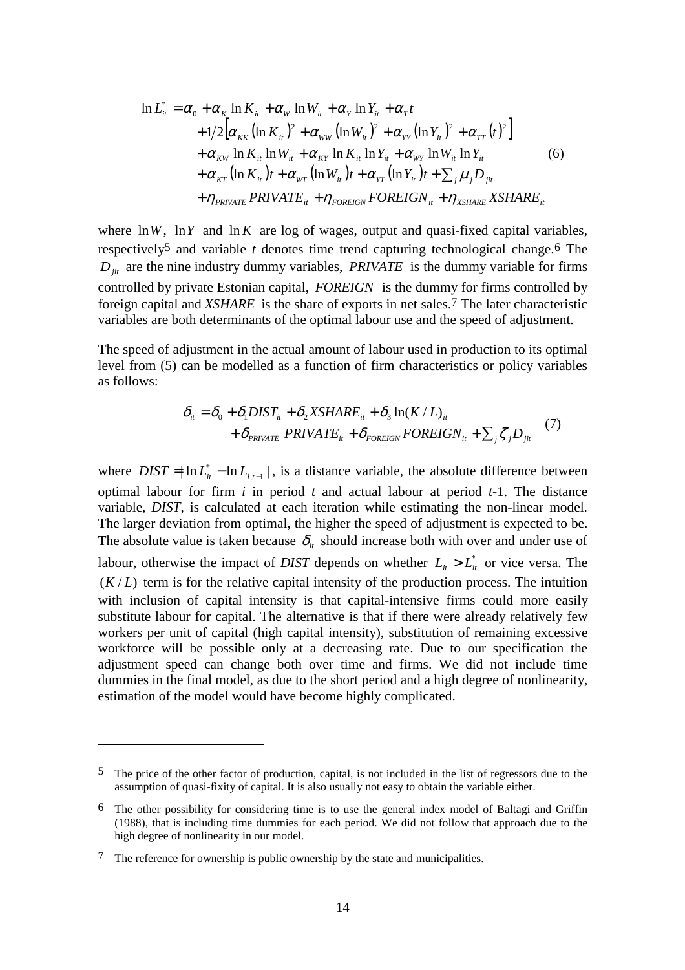$$
\ln L_{ii}^* = \alpha_0 + \alpha_K \ln K_{ii} + \alpha_W \ln W_{ii} + \alpha_Y \ln Y_{ii} + \alpha_T t + 1/2 \Big[ \alpha_{KK} (\ln K_{ii})^2 + \alpha_{WW} (\ln W_{ii})^2 + \alpha_{YY} (\ln Y_{ii})^2 + \alpha_{TT} (t)^2 \Big] + \alpha_{KW} \ln K_{ii} \ln W_{ii} + \alpha_{KY} \ln K_{ii} \ln Y_{ii} + \alpha_{WT} \ln W_{ii} \ln Y_{ii} + \alpha_{KT} (\ln K_{ii}) t + \alpha_{WT} (\ln W_{ii}) t + \alpha_{YT} (\ln Y_{ii}) t + \sum_j \mu_j D_{jit} + \eta_{PRIVATE} PRIVATE_{ii} + \eta_{FOREIGN} FOREIGN_{ii} + \eta_{XSHARE} XSHARE_{ii}
$$

where  $\ln W$ ,  $\ln Y$  and  $\ln K$  are log of wages, output and quasi-fixed capital variables, respectively5 and variable *t* denotes time trend capturing technological change.6 The  $D_{ji}$  are the nine industry dummy variables, *PRIVATE* is the dummy variable for firms controlled by private Estonian capital, *FOREIGN* is the dummy for firms controlled by foreign capital and *XSHARE* is the share of exports in net sales.7 The later characteristic variables are both determinants of the optimal labour use and the speed of adjustment.

The speed of adjustment in the actual amount of labour used in production to its optimal level from (5) can be modelled as a function of firm characteristics or policy variables as follows:

$$
\delta_{it} = \delta_0 + \delta_1 DIST_{it} + \delta_2 XSHARE_{it} + \delta_3 \ln(K/L)_{it}
$$
  
+ 
$$
\delta_{PRIVATE} PRIVATE_{it} + \delta_{FOREIGN} FOREIGN_{it} + \sum_j \zeta_j D_{jit}
$$
 (7)

where  $DIST = \ln L_{it}^* - \ln L_{i,t-1}$ , is a distance variable, the absolute difference between optimal labour for firm *i* in period *t* and actual labour at period *t*-1. The distance variable, *DIST*, is calculated at each iteration while estimating the non-linear model. The larger deviation from optimal, the higher the speed of adjustment is expected to be. The absolute value is taken because  $\delta_{it}$  should increase both with over and under use of labour, otherwise the impact of *DIST* depends on whether  $L_{it} > L_{it}^{*}$  or vice versa. The  $(K/L)$  term is for the relative capital intensity of the production process. The intuition with inclusion of capital intensity is that capital-intensive firms could more easily substitute labour for capital. The alternative is that if there were already relatively few workers per unit of capital (high capital intensity), substitution of remaining excessive workforce will be possible only at a decreasing rate. Due to our specification the adjustment speed can change both over time and firms. We did not include time dummies in the final model, as due to the short period and a high degree of nonlinearity, estimation of the model would have become highly complicated.

<sup>5</sup> The price of the other factor of production, capital, is not included in the list of regressors due to the assumption of quasi-fixity of capital. It is also usually not easy to obtain the variable either.

<sup>6</sup> The other possibility for considering time is to use the general index model of Baltagi and Griffin (1988), that is including time dummies for each period. We did not follow that approach due to the high degree of nonlinearity in our model.

<sup>7</sup> The reference for ownership is public ownership by the state and municipalities.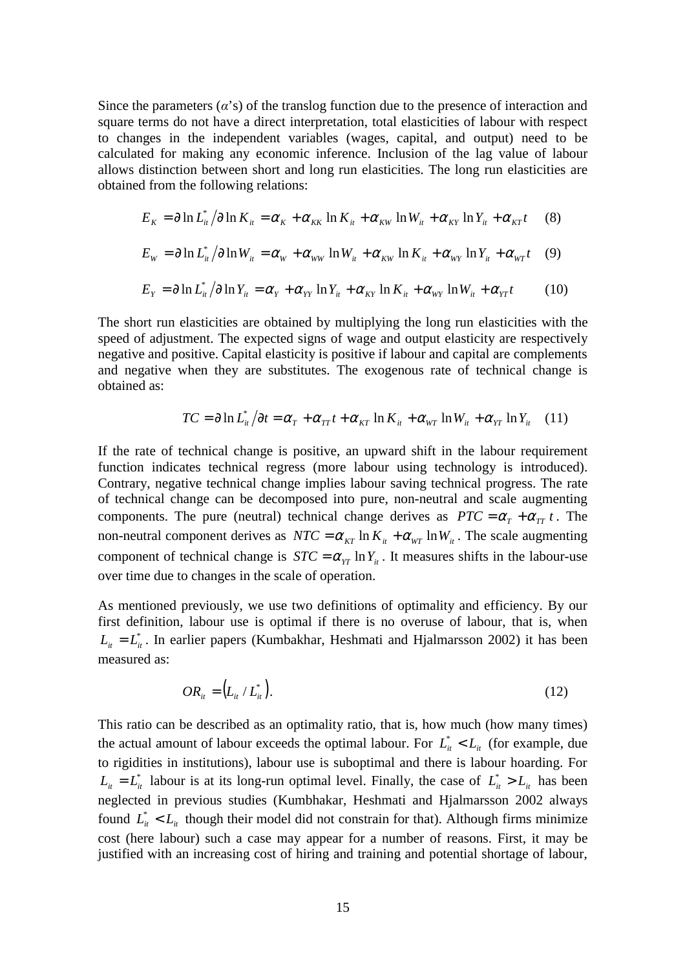Since the parameters  $(\alpha's)$  of the translog function due to the presence of interaction and square terms do not have a direct interpretation, total elasticities of labour with respect to changes in the independent variables (wages, capital, and output) need to be calculated for making any economic inference. Inclusion of the lag value of labour allows distinction between short and long run elasticities. The long run elasticities are obtained from the following relations:

$$
E_K = \partial \ln L_{ii}^* / \partial \ln K_{ii} = \alpha_K + \alpha_{KK} \ln K_{ii} + \alpha_{KW} \ln W_{ii} + \alpha_{KY} \ln Y_{ii} + \alpha_{KT} t \tag{8}
$$

$$
E_{w} = \partial \ln L_{it}^{*} / \partial \ln W_{it} = \alpha_{w} + \alpha_{ww} \ln W_{it} + \alpha_{kw} \ln K_{it} + \alpha_{wr} \ln Y_{it} + \alpha_{wr} t \quad (9)
$$

$$
E_{Y} = \partial \ln L_{it}^{*}/\partial \ln Y_{it} = \alpha_{Y} + \alpha_{YY} \ln Y_{it} + \alpha_{KY} \ln K_{it} + \alpha_{WY} \ln W_{it} + \alpha_{YT}t \qquad (10)
$$

The short run elasticities are obtained by multiplying the long run elasticities with the speed of adjustment. The expected signs of wage and output elasticity are respectively negative and positive. Capital elasticity is positive if labour and capital are complements and negative when they are substitutes. The exogenous rate of technical change is obtained as:

$$
TC = \partial \ln L_{it}^* / \partial t = \alpha_T + \alpha_{TT} t + \alpha_{KT} \ln K_{it} + \alpha_{WT} \ln W_{it} + \alpha_{YT} \ln Y_{it} \quad (11)
$$

If the rate of technical change is positive, an upward shift in the labour requirement function indicates technical regress (more labour using technology is introduced). Contrary, negative technical change implies labour saving technical progress. The rate of technical change can be decomposed into pure, non-neutral and scale augmenting components. The pure (neutral) technical change derives as  $PTC = \alpha_T + \alpha_{TT} t$ . The non-neutral component derives as  $NTC = \alpha_{KT} \ln K_{it} + \alpha_{WT} \ln W_{it}$ . The scale augmenting component of technical change is  $STC = \alpha_{\text{YT}} \ln Y_{\text{it}}$ . It measures shifts in the labour-use over time due to changes in the scale of operation.

As mentioned previously, we use two definitions of optimality and efficiency. By our first definition, labour use is optimal if there is no overuse of labour, that is, when  $L_{it} = L_{it}^{*}$ . In earlier papers (Kumbakhar, Heshmati and Hjalmarsson 2002) it has been measured as:

$$
OR_{it} = (L_{it} / L_{it}^*)
$$
 (12)

This ratio can be described as an optimality ratio, that is, how much (how many times) the actual amount of labour exceeds the optimal labour. For  $L_{it}^* < L_{it}$  (for example, due to rigidities in institutions), labour use is suboptimal and there is labour hoarding. For  $L_{it} = L_{it}^{*}$  labour is at its long-run optimal level. Finally, the case of  $L_{it}^{*} > L_{it}$  has been neglected in previous studies (Kumbhakar, Heshmati and Hjalmarsson 2002 always found  $L_{it}^* < L_{it}$  though their model did not constrain for that). Although firms minimize cost (here labour) such a case may appear for a number of reasons. First, it may be justified with an increasing cost of hiring and training and potential shortage of labour,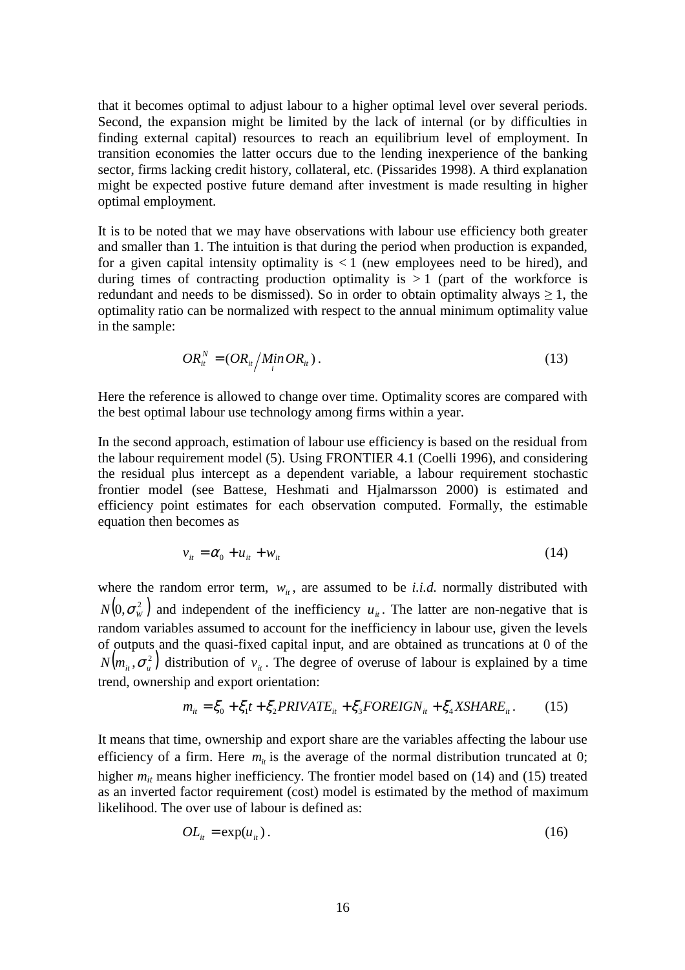that it becomes optimal to adjust labour to a higher optimal level over several periods. Second, the expansion might be limited by the lack of internal (or by difficulties in finding external capital) resources to reach an equilibrium level of employment. In transition economies the latter occurs due to the lending inexperience of the banking sector, firms lacking credit history, collateral, etc. (Pissarides 1998). A third explanation might be expected postive future demand after investment is made resulting in higher optimal employment.

It is to be noted that we may have observations with labour use efficiency both greater and smaller than 1. The intuition is that during the period when production is expanded, for a given capital intensity optimality is  $\lt 1$  (new employees need to be hired), and during times of contracting production optimality is  $> 1$  (part of the workforce is redundant and needs to be dismissed). So in order to obtain optimality always  $\geq 1$ , the optimality ratio can be normalized with respect to the annual minimum optimality value in the sample:

$$
OR_{ii}^N = \left( OR_{ii} / \frac{\text{Min } OR_{ii} \right). \tag{13}
$$

Here the reference is allowed to change over time. Optimality scores are compared with the best optimal labour use technology among firms within a year.

In the second approach, estimation of labour use efficiency is based on the residual from the labour requirement model (5). Using FRONTIER 4.1 (Coelli 1996), and considering the residual plus intercept as a dependent variable, a labour requirement stochastic frontier model (see Battese, Heshmati and Hjalmarsson 2000) is estimated and efficiency point estimates for each observation computed. Formally, the estimable equation then becomes as

$$
v_{it} = \alpha_0 + u_{it} + w_{it} \tag{14}
$$

where the random error term,  $w_{ij}$ , are assumed to be *i.i.d.* normally distributed with  $N(0, \sigma_w^2)$  and independent of the inefficiency  $u_u$ . The latter are non-negative that is random variables assumed to account for the inefficiency in labour use, given the levels of outputs and the quasi-fixed capital input, and are obtained as truncations at 0 of the  $N(m_{ii}, \sigma^2)$  distribution of  $v_{ii}$ . The degree of overuse of labour is explained by a time trend, ownership and export orientation:

$$
m_{ii} = \xi_0 + \xi_1 t + \xi_2 PRIVATE_{it} + \xi_3 FOREIGN_{it} + \xi_4 XSHARE_{it}.
$$
 (15)

It means that time, ownership and export share are the variables affecting the labour use efficiency of a firm. Here  $m_{ii}$  is the average of the normal distribution truncated at 0; higher  $m_{it}$  means higher inefficiency. The frontier model based on (14) and (15) treated as an inverted factor requirement (cost) model is estimated by the method of maximum likelihood. The over use of labour is defined as:

$$
OL_{it} = \exp(u_{it}). \tag{16}
$$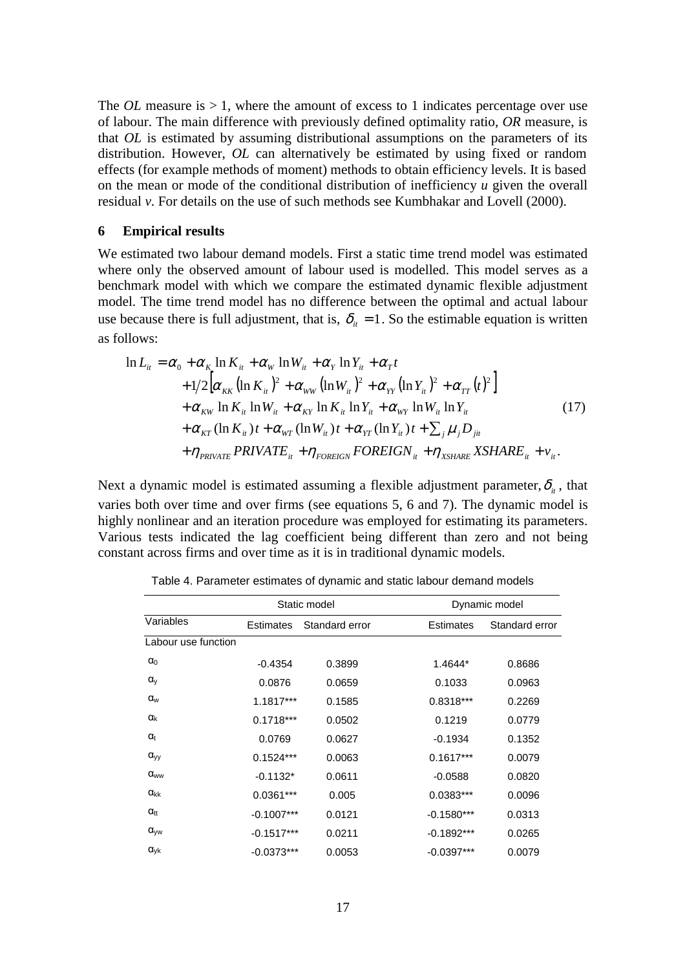The *OL* measure is  $> 1$ , where the amount of excess to 1 indicates percentage over use of labour. The main difference with previously defined optimality ratio, *OR* measure, is that *OL* is estimated by assuming distributional assumptions on the parameters of its distribution. However, *OL* can alternatively be estimated by using fixed or random effects (for example methods of moment) methods to obtain efficiency levels. It is based on the mean or mode of the conditional distribution of inefficiency *u* given the overall residual *v*. For details on the use of such methods see Kumbhakar and Lovell (2000).

#### **6 Empirical results**

We estimated two labour demand models. First a static time trend model was estimated where only the observed amount of labour used is modelled. This model serves as a benchmark model with which we compare the estimated dynamic flexible adjustment model. The time trend model has no difference between the optimal and actual labour use because there is full adjustment, that is,  $\delta_{i} = 1$ . So the estimable equation is written as follows:

$$
\ln L_{it} = \alpha_0 + \alpha_K \ln K_{it} + \alpha_W \ln W_{it} + \alpha_Y \ln Y_{it} + \alpha_T t + 1/2 \Big[ \alpha_{KK} (\ln K_{it})^2 + \alpha_{WW} (\ln W_{it})^2 + \alpha_{YY} (\ln Y_{it})^2 + \alpha_{TT} (t)^2 \Big] + \alpha_{KW} \ln K_{it} \ln W_{it} + \alpha_{KY} \ln K_{it} \ln Y_{it} + \alpha_{WY} \ln W_{it} \ln Y_{it} + \alpha_{KT} (\ln K_{it}) t + \alpha_{WT} (\ln W_{it}) t + \alpha_{TT} (\ln Y_{it}) t + \sum_j \mu_j D_{jit} + \eta_{PRIVATE} PRIVATE_{it} + \eta_{roREIGN} FOREIGN_{it} + \eta_{XSHARE} XSHARE_{it} + v_{it}.
$$
 (17)

Next a dynamic model is estimated assuming a flexible adjustment parameter,  $\delta_{it}$ , that varies both over time and over firms (see equations 5, 6 and 7). The dynamic model is highly nonlinear and an iteration procedure was employed for estimating its parameters. Various tests indicated the lag coefficient being different than zero and not being constant across firms and over time as it is in traditional dynamic models.

|                     | Static model     |                | Dynamic model    |                |
|---------------------|------------------|----------------|------------------|----------------|
| Variables           | <b>Estimates</b> | Standard error | <b>Estimates</b> | Standard error |
| Labour use function |                  |                |                  |                |
| $\alpha_0$          | $-0.4354$        | 0.3899         | 1.4644*          | 0.8686         |
| $\alpha_{v}$        | 0.0876           | 0.0659         | 0.1033           | 0.0963         |
| $\alpha_{w}$        | $1.1817***$      | 0.1585         | $0.8318***$      | 0.2269         |
| $\alpha_{k}$        | $0.1718***$      | 0.0502         | 0.1219           | 0.0779         |
| $\alpha_{t}$        | 0.0769           | 0.0627         | $-0.1934$        | 0.1352         |
| $\alpha_{yy}$       | $0.1524***$      | 0.0063         | $0.1617***$      | 0.0079         |
| $\alpha_{ww}$       | $-0.1132*$       | 0.0611         | $-0.0588$        | 0.0820         |
| $\alpha_{kk}$       | $0.0361***$      | 0.005          | $0.0383***$      | 0.0096         |
| $\alpha_{tt}$       | $-0.1007***$     | 0.0121         | $-0.1580***$     | 0.0313         |
| $\alpha_{\rm vw}$   | $-0.1517***$     | 0.0211         | $-0.1892***$     | 0.0265         |
| $\alpha_{\rm vk}$   | $-0.0373***$     | 0.0053         | $-0.0397***$     | 0.0079         |

Table 4. Parameter estimates of dynamic and static labour demand models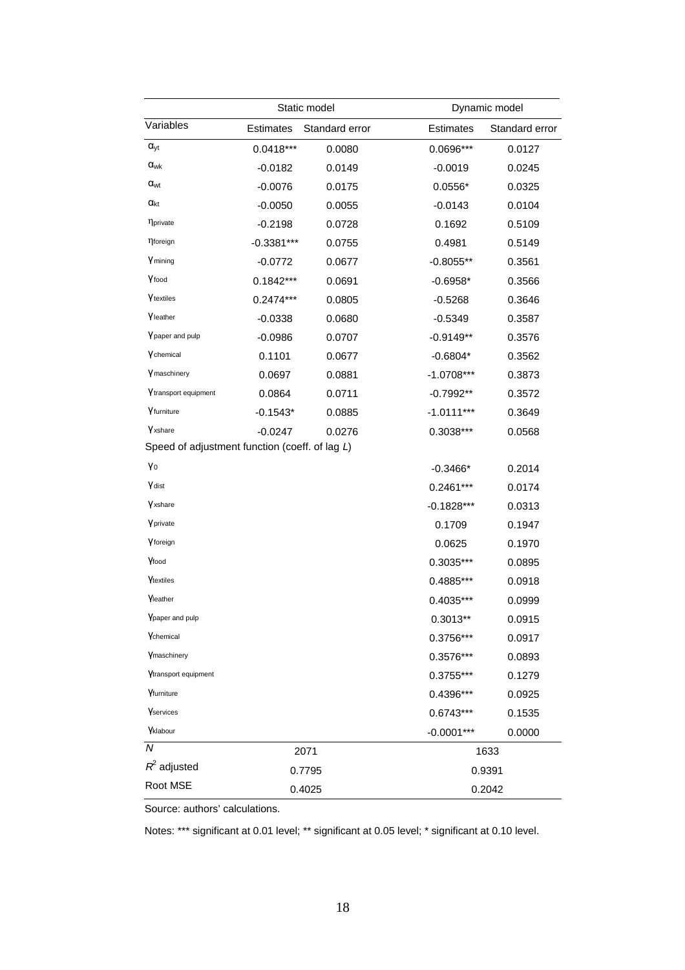|                                                |              | Static model   |              | Dynamic model  |  |  |
|------------------------------------------------|--------------|----------------|--------------|----------------|--|--|
| Variables                                      | Estimates    | Standard error | Estimates    | Standard error |  |  |
| $\alpha_{yt}$                                  | $0.0418***$  | 0.0080         | 0.0696***    | 0.0127         |  |  |
| $\alpha_{wk}$                                  | $-0.0182$    | 0.0149         | $-0.0019$    | 0.0245         |  |  |
| <b>a</b> <sub>wt</sub>                         | $-0.0076$    | 0.0175         | $0.0556*$    | 0.0325         |  |  |
| $\alpha_{\rm kt}$                              | $-0.0050$    | 0.0055         | $-0.0143$    | 0.0104         |  |  |
| <b>N</b> private                               | $-0.2198$    | 0.0728         | 0.1692       | 0.5109         |  |  |
| <b>nforeign</b>                                | $-0.3381***$ | 0.0755         | 0.4981       | 0.5149         |  |  |
| <b>Y</b> mining                                | $-0.0772$    | 0.0677         | $-0.8055**$  | 0.3561         |  |  |
| Yfood                                          | $0.1842***$  | 0.0691         | $-0.6958*$   | 0.3566         |  |  |
| Ytextiles                                      | $0.2474***$  | 0.0805         | $-0.5268$    | 0.3646         |  |  |
| Vleather                                       | $-0.0338$    | 0.0680         | $-0.5349$    | 0.3587         |  |  |
| Y paper and pulp                               | $-0.0986$    | 0.0707         | $-0.9149**$  | 0.3576         |  |  |
| Ychemical                                      | 0.1101       | 0.0677         | $-0.6804*$   | 0.3562         |  |  |
| Ymaschinery                                    | 0.0697       | 0.0881         | $-1.0708***$ | 0.3873         |  |  |
| Y transport equipment                          | 0.0864       | 0.0711         | $-0.7992**$  | 0.3572         |  |  |
| Yfurniture                                     | $-0.1543*$   | 0.0885         | $-1.0111***$ | 0.3649         |  |  |
| Yxshare                                        | $-0.0247$    | 0.0276         | 0.3038***    | 0.0568         |  |  |
| Speed of adjustment function (coeff. of lag L) |              |                |              |                |  |  |
| Yo                                             |              |                | $-0.3466*$   | 0.2014         |  |  |
| <b>Y</b> dist                                  |              |                | $0.2461***$  | 0.0174         |  |  |
| <b>Y</b> xshare                                |              |                | $-0.1828***$ | 0.0313         |  |  |
| Yprivate                                       |              |                | 0.1709       | 0.1947         |  |  |
| Yforeign                                       |              |                | 0.0625       | 0.1970         |  |  |
| Yfood                                          |              |                | 0.3035***    | 0.0895         |  |  |
| Ytextiles                                      |              |                | 0.4885***    | 0.0918         |  |  |
| <b>Yleather</b>                                |              |                | 0.4035***    | 0.0999         |  |  |
| Ypaper and pulp                                |              |                | $0.3013**$   | 0.0915         |  |  |
| Ychemical                                      |              |                | $0.3756***$  | 0.0917         |  |  |
| Ymaschinery                                    |              |                | 0.3576***    | 0.0893         |  |  |
| Ytransport equipment                           |              |                | 0.3755***    | 0.1279         |  |  |
| Yfurniture                                     |              |                | 0.4396***    | 0.0925         |  |  |
| Yservices                                      |              |                | $0.6743***$  | 0.1535         |  |  |
| Yklabour                                       |              |                | $-0.0001***$ | 0.0000         |  |  |
| N                                              |              | 2071           |              | 1633           |  |  |
| $R^2$ adjusted                                 |              | 0.7795         |              | 0.9391         |  |  |
| Root MSE                                       | 0.4025       |                |              | 0.2042         |  |  |

Source: authors' calculations.

Notes: \*\*\* significant at 0.01 level; \*\* significant at 0.05 level; \* significant at 0.10 level.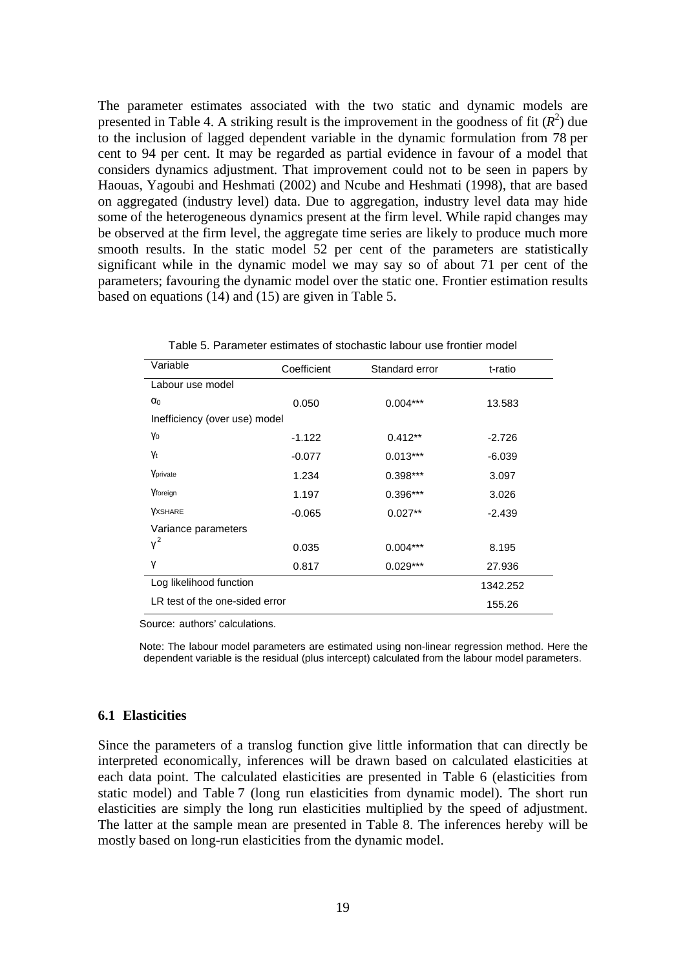The parameter estimates associated with the two static and dynamic models are presented in Table 4. A striking result is the improvement in the goodness of fit  $(R^2)$  due to the inclusion of lagged dependent variable in the dynamic formulation from 78 per cent to 94 per cent. It may be regarded as partial evidence in favour of a model that considers dynamics adjustment. That improvement could not to be seen in papers by Haouas, Yagoubi and Heshmati (2002) and Ncube and Heshmati (1998), that are based on aggregated (industry level) data. Due to aggregation, industry level data may hide some of the heterogeneous dynamics present at the firm level. While rapid changes may be observed at the firm level, the aggregate time series are likely to produce much more smooth results. In the static model 52 per cent of the parameters are statistically significant while in the dynamic model we may say so of about 71 per cent of the parameters; favouring the dynamic model over the static one. Frontier estimation results based on equations (14) and (15) are given in Table 5.

| Variable                       | Coefficient | Standard error | t-ratio  |
|--------------------------------|-------------|----------------|----------|
| Labour use model               |             |                |          |
| $\alpha_0$                     | 0.050       | $0.004***$     | 13.583   |
| Inefficiency (over use) model  |             |                |          |
| Yo                             | $-1.122$    | $0.412**$      | $-2.726$ |
| <b>Yt</b>                      | $-0.077$    | $0.013***$     | $-6.039$ |
| Vprivate                       | 1.234       | $0.398***$     | 3.097    |
| Yforeign                       | 1.197       | 0.396***       | 3.026    |
| <b>YXSHARE</b>                 | $-0.065$    | $0.027**$      | $-2.439$ |
| Variance parameters            |             |                |          |
| $v^2$                          | 0.035       | $0.004***$     | 8.195    |
| γ                              | 0.817       | $0.029***$     | 27.936   |
| Log likelihood function        |             |                | 1342.252 |
| LR test of the one-sided error |             |                | 155.26   |

| Table 5. Parameter estimates of stochastic labour use frontier model |  |  |  |  |  |  |
|----------------------------------------------------------------------|--|--|--|--|--|--|
|----------------------------------------------------------------------|--|--|--|--|--|--|

Source: authors' calculations.

Note: The labour model parameters are estimated using non-linear regression method. Here the dependent variable is the residual (plus intercept) calculated from the labour model parameters.

#### **6.1 Elasticities**

Since the parameters of a translog function give little information that can directly be interpreted economically, inferences will be drawn based on calculated elasticities at each data point. The calculated elasticities are presented in Table 6 (elasticities from static model) and Table 7 (long run elasticities from dynamic model). The short run elasticities are simply the long run elasticities multiplied by the speed of adjustment. The latter at the sample mean are presented in Table 8. The inferences hereby will be mostly based on long-run elasticities from the dynamic model.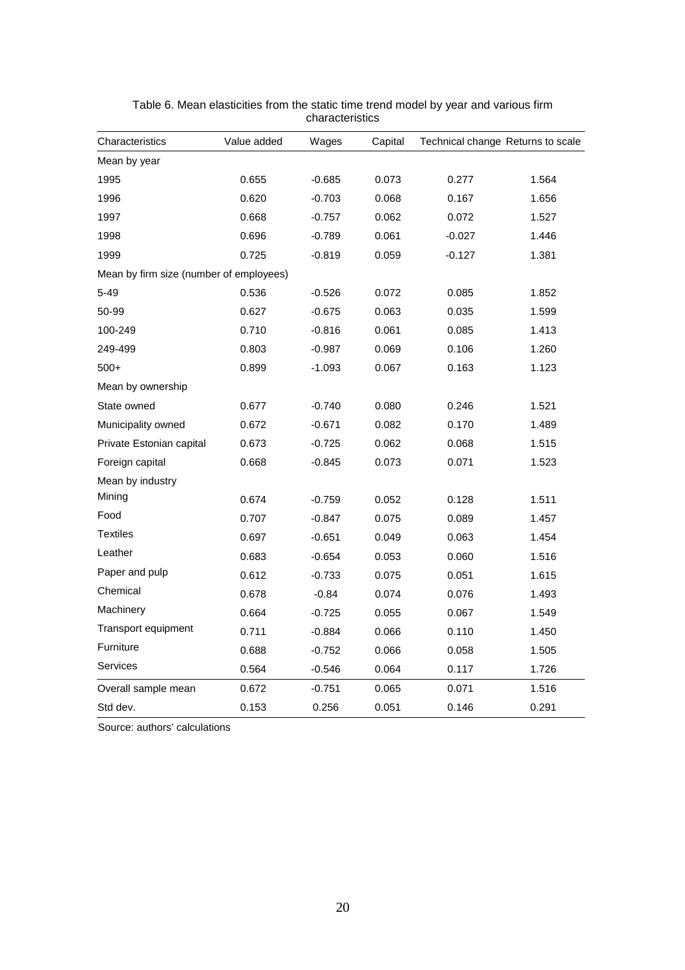| Characteristics                         | Value added | Wages    | Capital | Technical change Returns to scale |       |
|-----------------------------------------|-------------|----------|---------|-----------------------------------|-------|
| Mean by year                            |             |          |         |                                   |       |
| 1995                                    | 0.655       | $-0.685$ | 0.073   | 0.277                             | 1.564 |
| 1996                                    | 0.620       | $-0.703$ | 0.068   | 0.167                             | 1.656 |
| 1997                                    | 0.668       | $-0.757$ | 0.062   | 0.072                             | 1.527 |
| 1998                                    | 0.696       | $-0.789$ | 0.061   | $-0.027$                          | 1.446 |
| 1999                                    | 0.725       | $-0.819$ | 0.059   | -0.127                            | 1.381 |
| Mean by firm size (number of employees) |             |          |         |                                   |       |
| $5 - 49$                                | 0.536       | $-0.526$ | 0.072   | 0.085                             | 1.852 |
| 50-99                                   | 0.627       | $-0.675$ | 0.063   | 0.035                             | 1.599 |
| 100-249                                 | 0.710       | $-0.816$ | 0.061   | 0.085                             | 1.413 |
| 249-499                                 | 0.803       | $-0.987$ | 0.069   | 0.106                             | 1.260 |
| $500+$                                  | 0.899       | $-1.093$ | 0.067   | 0.163                             | 1.123 |
| Mean by ownership                       |             |          |         |                                   |       |
| State owned                             | 0.677       | $-0.740$ | 0.080   | 0.246                             | 1.521 |
| Municipality owned                      | 0.672       | $-0.671$ | 0.082   | 0.170                             | 1.489 |
| Private Estonian capital                | 0.673       | $-0.725$ | 0.062   | 0.068                             | 1.515 |
| Foreign capital                         | 0.668       | $-0.845$ | 0.073   | 0.071                             | 1.523 |
| Mean by industry                        |             |          |         |                                   |       |
| Mining                                  | 0.674       | $-0.759$ | 0.052   | 0.128                             | 1.511 |
| Food                                    | 0.707       | $-0.847$ | 0.075   | 0.089                             | 1.457 |
| <b>Textiles</b>                         | 0.697       | $-0.651$ | 0.049   | 0.063                             | 1.454 |
| Leather                                 | 0.683       | $-0.654$ | 0.053   | 0.060                             | 1.516 |
| Paper and pulp                          | 0.612       | $-0.733$ | 0.075   | 0.051                             | 1.615 |
| Chemical                                | 0.678       | $-0.84$  | 0.074   | 0.076                             | 1.493 |
| Machinery                               | 0.664       | $-0.725$ | 0.055   | 0.067                             | 1.549 |
| Transport equipment                     | 0.711       | $-0.884$ | 0.066   | 0.110                             | 1.450 |
| Furniture                               | 0.688       | $-0.752$ | 0.066   | 0.058                             | 1.505 |
| <b>Services</b>                         | 0.564       | $-0.546$ | 0.064   | 0.117                             | 1.726 |
| Overall sample mean                     | 0.672       | $-0.751$ | 0.065   | 0.071                             | 1.516 |
| Std dev.                                | 0.153       | 0.256    | 0.051   | 0.146                             | 0.291 |

Table 6. Mean elasticities from the static time trend model by year and various firm characteristics

Source: authors' calculations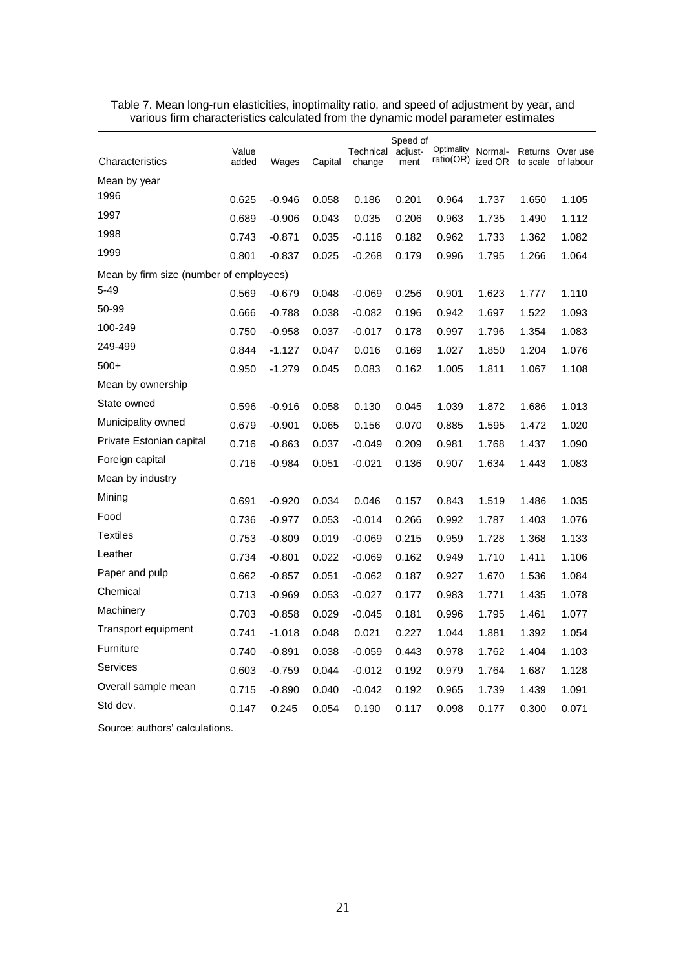|                                         |                |          |         |                     | Speed of        |                         |                    |          |                               |
|-----------------------------------------|----------------|----------|---------|---------------------|-----------------|-------------------------|--------------------|----------|-------------------------------|
| Characteristics                         | Value<br>added | Wages    | Capital | Technical<br>change | adjust-<br>ment | Optimality<br>ratio(OR) | Normal-<br>ized OR | to scale | Returns Over use<br>of labour |
| Mean by year                            |                |          |         |                     |                 |                         |                    |          |                               |
| 1996                                    | 0.625          | $-0.946$ | 0.058   | 0.186               | 0.201           | 0.964                   | 1.737              | 1.650    | 1.105                         |
| 1997                                    | 0.689          | $-0.906$ | 0.043   | 0.035               | 0.206           | 0.963                   | 1.735              | 1.490    | 1.112                         |
| 1998                                    | 0.743          | $-0.871$ | 0.035   | $-0.116$            | 0.182           | 0.962                   | 1.733              | 1.362    | 1.082                         |
| 1999                                    | 0.801          | $-0.837$ | 0.025   | $-0.268$            | 0.179           | 0.996                   | 1.795              | 1.266    | 1.064                         |
| Mean by firm size (number of employees) |                |          |         |                     |                 |                         |                    |          |                               |
| $5 - 49$                                | 0.569          | $-0.679$ | 0.048   | $-0.069$            | 0.256           | 0.901                   | 1.623              | 1.777    | 1.110                         |
| 50-99                                   | 0.666          | $-0.788$ | 0.038   | $-0.082$            | 0.196           | 0.942                   | 1.697              | 1.522    | 1.093                         |
| 100-249                                 | 0.750          | $-0.958$ | 0.037   | $-0.017$            | 0.178           | 0.997                   | 1.796              | 1.354    | 1.083                         |
| 249-499                                 | 0.844          | -1.127   | 0.047   | 0.016               | 0.169           | 1.027                   | 1.850              | 1.204    | 1.076                         |
| $500+$                                  | 0.950          | $-1.279$ | 0.045   | 0.083               | 0.162           | 1.005                   | 1.811              | 1.067    | 1.108                         |
| Mean by ownership                       |                |          |         |                     |                 |                         |                    |          |                               |
| State owned                             | 0.596          | $-0.916$ | 0.058   | 0.130               | 0.045           | 1.039                   | 1.872              | 1.686    | 1.013                         |
| Municipality owned                      | 0.679          | $-0.901$ | 0.065   | 0.156               | 0.070           | 0.885                   | 1.595              | 1.472    | 1.020                         |
| Private Estonian capital                | 0.716          | $-0.863$ | 0.037   | $-0.049$            | 0.209           | 0.981                   | 1.768              | 1.437    | 1.090                         |
| Foreign capital                         | 0.716          | $-0.984$ | 0.051   | $-0.021$            | 0.136           | 0.907                   | 1.634              | 1.443    | 1.083                         |
| Mean by industry                        |                |          |         |                     |                 |                         |                    |          |                               |
| Mining                                  | 0.691          | $-0.920$ | 0.034   | 0.046               | 0.157           | 0.843                   | 1.519              | 1.486    | 1.035                         |
| Food                                    | 0.736          | $-0.977$ | 0.053   | $-0.014$            | 0.266           | 0.992                   | 1.787              | 1.403    | 1.076                         |
| <b>Textiles</b>                         | 0.753          | $-0.809$ | 0.019   | $-0.069$            | 0.215           | 0.959                   | 1.728              | 1.368    | 1.133                         |
| Leather                                 | 0.734          | $-0.801$ | 0.022   | $-0.069$            | 0.162           | 0.949                   | 1.710              | 1.411    | 1.106                         |
| Paper and pulp                          | 0.662          | $-0.857$ | 0.051   | $-0.062$            | 0.187           | 0.927                   | 1.670              | 1.536    | 1.084                         |
| Chemical                                | 0.713          | $-0.969$ | 0.053   | $-0.027$            | 0.177           | 0.983                   | 1.771              | 1.435    | 1.078                         |
| Machinery                               | 0.703          | $-0.858$ | 0.029   | $-0.045$            | 0.181           | 0.996                   | 1.795              | 1.461    | 1.077                         |
| Transport equipment                     | 0.741          | $-1.018$ | 0.048   | 0.021               | 0.227           | 1.044                   | 1.881              | 1.392    | 1.054                         |
| Furniture                               | 0.740          | $-0.891$ | 0.038   | $-0.059$            | 0.443           | 0.978                   | 1.762              | 1.404    | 1.103                         |
| <b>Services</b>                         | 0.603          | $-0.759$ | 0.044   | $-0.012$            | 0.192           | 0.979                   | 1.764              | 1.687    | 1.128                         |
| Overall sample mean                     | 0.715          | $-0.890$ | 0.040   | $-0.042$            | 0.192           | 0.965                   | 1.739              | 1.439    | 1.091                         |
| Std dev.                                | 0.147          | 0.245    | 0.054   | 0.190               | 0.117           | 0.098                   | 0.177              | 0.300    | 0.071                         |

Table 7. Mean long-run elasticities, inoptimality ratio, and speed of adjustment by year, and various firm characteristics calculated from the dynamic model parameter estimates

Source: authors' calculations.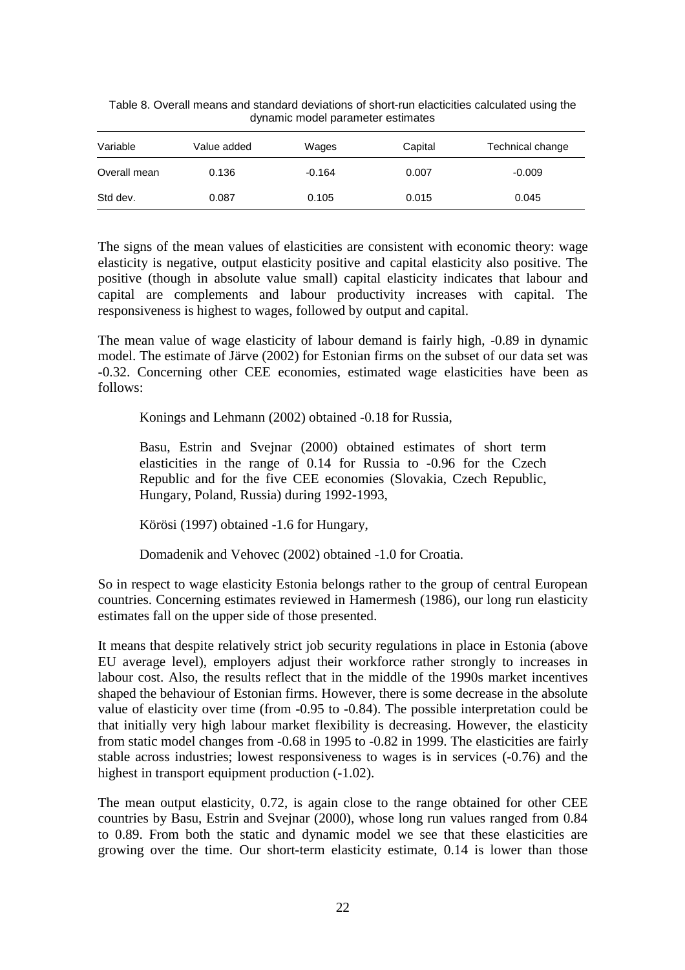| Variable     | Value added | Wages    | Capital | Technical change |
|--------------|-------------|----------|---------|------------------|
| Overall mean | 0.136       | $-0.164$ | 0.007   | $-0.009$         |
| Std dev.     | 0.087       | 0.105    | 0.015   | 0.045            |

Table 8. Overall means and standard deviations of short-run elacticities calculated using the dynamic model parameter estimates

The signs of the mean values of elasticities are consistent with economic theory: wage elasticity is negative, output elasticity positive and capital elasticity also positive. The positive (though in absolute value small) capital elasticity indicates that labour and capital are complements and labour productivity increases with capital. The responsiveness is highest to wages, followed by output and capital.

The mean value of wage elasticity of labour demand is fairly high, -0.89 in dynamic model. The estimate of Järve (2002) for Estonian firms on the subset of our data set was -0.32. Concerning other CEE economies, estimated wage elasticities have been as follows:

Konings and Lehmann (2002) obtained -0.18 for Russia,

Basu, Estrin and Svejnar (2000) obtained estimates of short term elasticities in the range of 0.14 for Russia to -0.96 for the Czech Republic and for the five CEE economies (Slovakia, Czech Republic, Hungary, Poland, Russia) during 1992-1993,

Körösi (1997) obtained -1.6 for Hungary,

Domadenik and Vehovec (2002) obtained -1.0 for Croatia.

So in respect to wage elasticity Estonia belongs rather to the group of central European countries. Concerning estimates reviewed in Hamermesh (1986), our long run elasticity estimates fall on the upper side of those presented.

It means that despite relatively strict job security regulations in place in Estonia (above EU average level), employers adjust their workforce rather strongly to increases in labour cost. Also, the results reflect that in the middle of the 1990s market incentives shaped the behaviour of Estonian firms. However, there is some decrease in the absolute value of elasticity over time (from -0.95 to -0.84). The possible interpretation could be that initially very high labour market flexibility is decreasing. However, the elasticity from static model changes from -0.68 in 1995 to -0.82 in 1999. The elasticities are fairly stable across industries; lowest responsiveness to wages is in services (-0.76) and the highest in transport equipment production  $(-1.02)$ .

The mean output elasticity, 0.72, is again close to the range obtained for other CEE countries by Basu, Estrin and Svejnar (2000), whose long run values ranged from 0.84 to 0.89. From both the static and dynamic model we see that these elasticities are growing over the time. Our short-term elasticity estimate, 0.14 is lower than those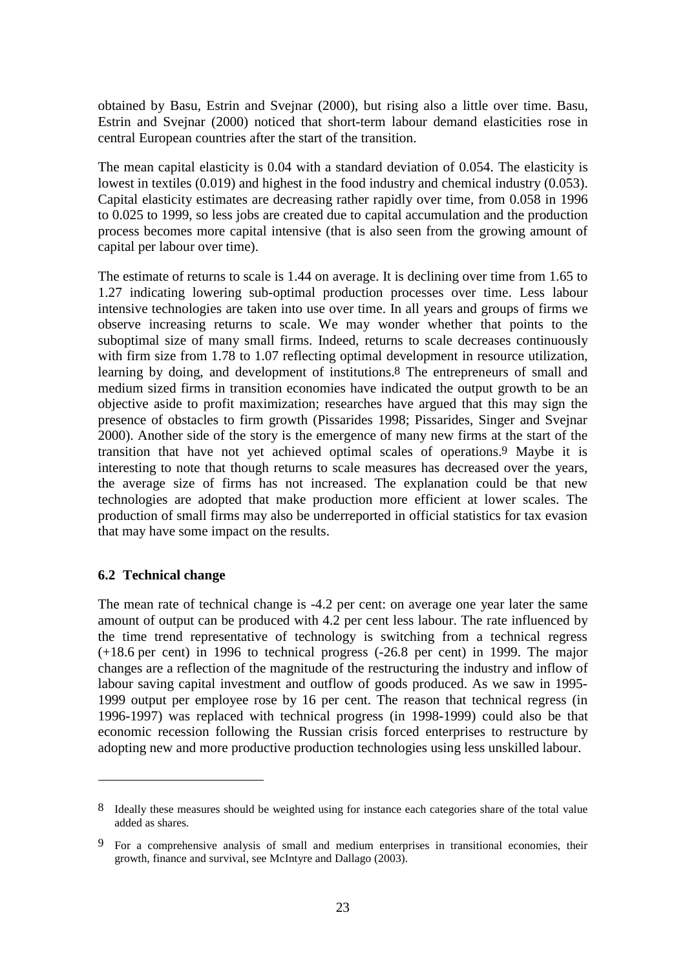obtained by Basu, Estrin and Svejnar (2000), but rising also a little over time. Basu, Estrin and Svejnar (2000) noticed that short-term labour demand elasticities rose in central European countries after the start of the transition.

The mean capital elasticity is 0.04 with a standard deviation of 0.054. The elasticity is lowest in textiles (0.019) and highest in the food industry and chemical industry (0.053). Capital elasticity estimates are decreasing rather rapidly over time, from 0.058 in 1996 to 0.025 to 1999, so less jobs are created due to capital accumulation and the production process becomes more capital intensive (that is also seen from the growing amount of capital per labour over time).

The estimate of returns to scale is 1.44 on average. It is declining over time from 1.65 to 1.27 indicating lowering sub-optimal production processes over time. Less labour intensive technologies are taken into use over time. In all years and groups of firms we observe increasing returns to scale. We may wonder whether that points to the suboptimal size of many small firms. Indeed, returns to scale decreases continuously with firm size from 1.78 to 1.07 reflecting optimal development in resource utilization, learning by doing, and development of institutions.8 The entrepreneurs of small and medium sized firms in transition economies have indicated the output growth to be an objective aside to profit maximization; researches have argued that this may sign the presence of obstacles to firm growth (Pissarides 1998; Pissarides, Singer and Svejnar 2000). Another side of the story is the emergence of many new firms at the start of the transition that have not yet achieved optimal scales of operations.9 Maybe it is interesting to note that though returns to scale measures has decreased over the years, the average size of firms has not increased. The explanation could be that new technologies are adopted that make production more efficient at lower scales. The production of small firms may also be underreported in official statistics for tax evasion that may have some impact on the results.

#### **6.2 Technical change**

The mean rate of technical change is -4.2 per cent: on average one year later the same amount of output can be produced with 4.2 per cent less labour. The rate influenced by the time trend representative of technology is switching from a technical regress (+18.6 per cent) in 1996 to technical progress (-26.8 per cent) in 1999. The major changes are a reflection of the magnitude of the restructuring the industry and inflow of labour saving capital investment and outflow of goods produced. As we saw in 1995- 1999 output per employee rose by 16 per cent. The reason that technical regress (in 1996-1997) was replaced with technical progress (in 1998-1999) could also be that economic recession following the Russian crisis forced enterprises to restructure by adopting new and more productive production technologies using less unskilled labour.

<sup>8</sup> Ideally these measures should be weighted using for instance each categories share of the total value added as shares.

<sup>9</sup> For a comprehensive analysis of small and medium enterprises in transitional economies, their growth, finance and survival, see McIntyre and Dallago (2003).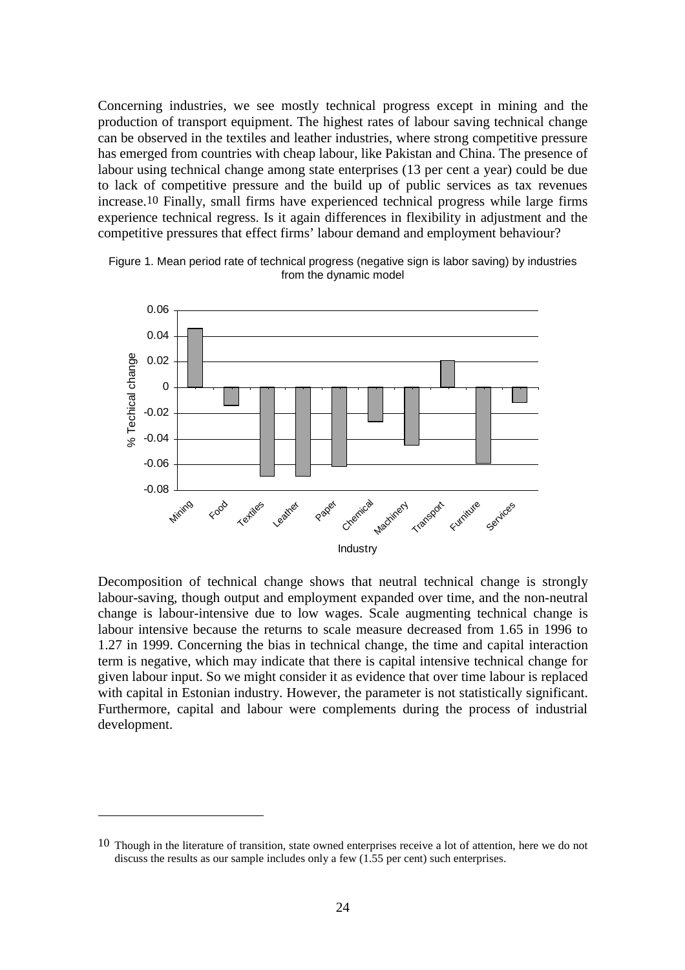Concerning industries, we see mostly technical progress except in mining and the production of transport equipment. The highest rates of labour saving technical change can be observed in the textiles and leather industries, where strong competitive pressure has emerged from countries with cheap labour, like Pakistan and China. The presence of labour using technical change among state enterprises (13 per cent a year) could be due to lack of competitive pressure and the build up of public services as tax revenues increase.10 Finally, small firms have experienced technical progress while large firms experience technical regress. Is it again differences in flexibility in adjustment and the competitive pressures that effect firms' labour demand and employment behaviour?



Figure 1. Mean period rate of technical progress (negative sign is labor saving) by industries from the dynamic model

Decomposition of technical change shows that neutral technical change is strongly labour-saving, though output and employment expanded over time, and the non-neutral change is labour-intensive due to low wages. Scale augmenting technical change is labour intensive because the returns to scale measure decreased from 1.65 in 1996 to 1.27 in 1999. Concerning the bias in technical change, the time and capital interaction term is negative, which may indicate that there is capital intensive technical change for given labour input. So we might consider it as evidence that over time labour is replaced with capital in Estonian industry. However, the parameter is not statistically significant. Furthermore, capital and labour were complements during the process of industrial development.

<sup>10</sup> Though in the literature of transition, state owned enterprises receive a lot of attention, here we do not discuss the results as our sample includes only a few (1.55 per cent) such enterprises.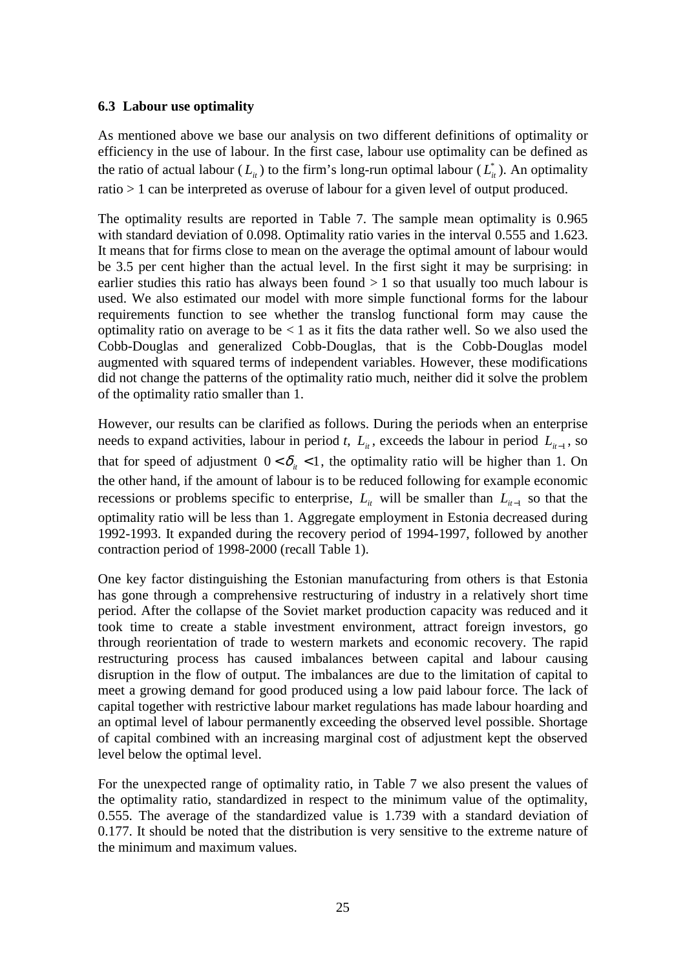#### **6.3 Labour use optimality**

As mentioned above we base our analysis on two different definitions of optimality or efficiency in the use of labour. In the first case, labour use optimality can be defined as the ratio of actual labour  $(L_{ii})$  to the firm's long-run optimal labour  $(L_{ii}^*)$ . An optimality ratio > 1 can be interpreted as overuse of labour for a given level of output produced.

The optimality results are reported in Table 7. The sample mean optimality is 0.965 with standard deviation of 0.098. Optimality ratio varies in the interval 0.555 and 1.623. It means that for firms close to mean on the average the optimal amount of labour would be 3.5 per cent higher than the actual level. In the first sight it may be surprising: in earlier studies this ratio has always been found  $> 1$  so that usually too much labour is used. We also estimated our model with more simple functional forms for the labour requirements function to see whether the translog functional form may cause the optimality ratio on average to be  $< 1$  as it fits the data rather well. So we also used the Cobb-Douglas and generalized Cobb-Douglas, that is the Cobb-Douglas model augmented with squared terms of independent variables. However, these modifications did not change the patterns of the optimality ratio much, neither did it solve the problem of the optimality ratio smaller than 1.

However, our results can be clarified as follows. During the periods when an enterprise needs to expand activities, labour in period *t*,  $L_i$ , exceeds the labour in period  $L_{i-1}$ , so that for speed of adjustment  $0 < \delta_{it} < 1$ , the optimality ratio will be higher than 1. On the other hand, if the amount of labour is to be reduced following for example economic recessions or problems specific to enterprise,  $L_i$  will be smaller than  $L_{i-1}$  so that the optimality ratio will be less than 1. Aggregate employment in Estonia decreased during 1992-1993. It expanded during the recovery period of 1994-1997, followed by another contraction period of 1998-2000 (recall Table 1).

One key factor distinguishing the Estonian manufacturing from others is that Estonia has gone through a comprehensive restructuring of industry in a relatively short time period. After the collapse of the Soviet market production capacity was reduced and it took time to create a stable investment environment, attract foreign investors, go through reorientation of trade to western markets and economic recovery. The rapid restructuring process has caused imbalances between capital and labour causing disruption in the flow of output. The imbalances are due to the limitation of capital to meet a growing demand for good produced using a low paid labour force. The lack of capital together with restrictive labour market regulations has made labour hoarding and an optimal level of labour permanently exceeding the observed level possible. Shortage of capital combined with an increasing marginal cost of adjustment kept the observed level below the optimal level.

For the unexpected range of optimality ratio, in Table 7 we also present the values of the optimality ratio, standardized in respect to the minimum value of the optimality, 0.555. The average of the standardized value is 1.739 with a standard deviation of 0.177. It should be noted that the distribution is very sensitive to the extreme nature of the minimum and maximum values.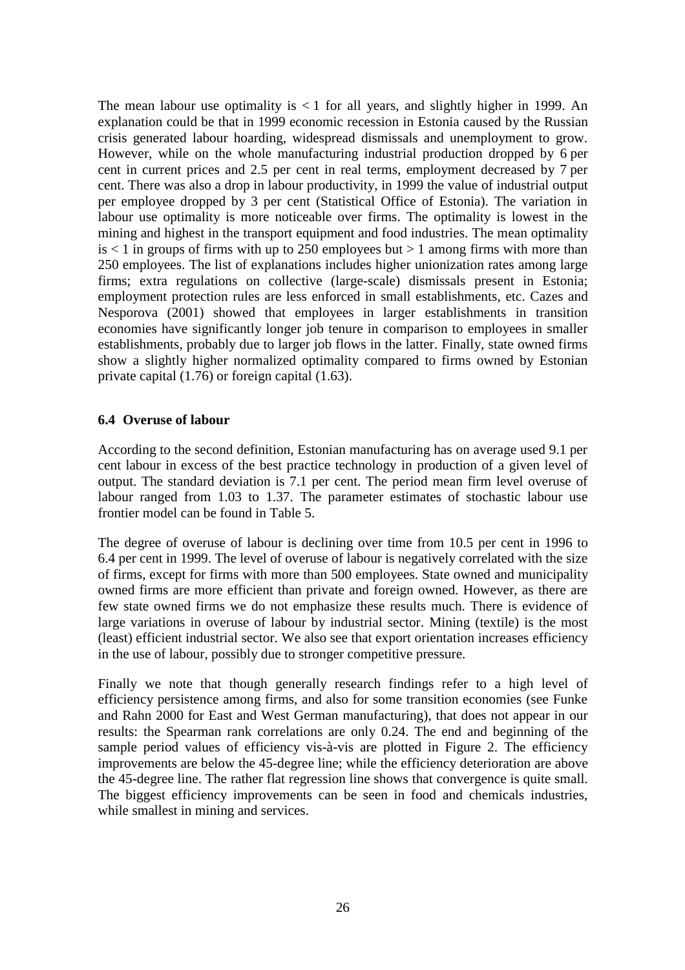The mean labour use optimality is  $<$  1 for all years, and slightly higher in 1999. An explanation could be that in 1999 economic recession in Estonia caused by the Russian crisis generated labour hoarding, widespread dismissals and unemployment to grow. However, while on the whole manufacturing industrial production dropped by 6 per cent in current prices and 2.5 per cent in real terms, employment decreased by 7 per cent. There was also a drop in labour productivity, in 1999 the value of industrial output per employee dropped by 3 per cent (Statistical Office of Estonia). The variation in labour use optimality is more noticeable over firms. The optimality is lowest in the mining and highest in the transport equipment and food industries. The mean optimality  $is < 1$  in groups of firms with up to 250 employees but  $> 1$  among firms with more than 250 employees. The list of explanations includes higher unionization rates among large firms; extra regulations on collective (large-scale) dismissals present in Estonia; employment protection rules are less enforced in small establishments, etc. Cazes and Nesporova (2001) showed that employees in larger establishments in transition economies have significantly longer job tenure in comparison to employees in smaller establishments, probably due to larger job flows in the latter. Finally, state owned firms show a slightly higher normalized optimality compared to firms owned by Estonian private capital (1.76) or foreign capital (1.63).

#### **6.4 Overuse of labour**

According to the second definition, Estonian manufacturing has on average used 9.1 per cent labour in excess of the best practice technology in production of a given level of output. The standard deviation is 7.1 per cent. The period mean firm level overuse of labour ranged from 1.03 to 1.37. The parameter estimates of stochastic labour use frontier model can be found in Table 5.

The degree of overuse of labour is declining over time from 10.5 per cent in 1996 to 6.4 per cent in 1999. The level of overuse of labour is negatively correlated with the size of firms, except for firms with more than 500 employees. State owned and municipality owned firms are more efficient than private and foreign owned. However, as there are few state owned firms we do not emphasize these results much. There is evidence of large variations in overuse of labour by industrial sector. Mining (textile) is the most (least) efficient industrial sector. We also see that export orientation increases efficiency in the use of labour, possibly due to stronger competitive pressure.

Finally we note that though generally research findings refer to a high level of efficiency persistence among firms, and also for some transition economies (see Funke and Rahn 2000 for East and West German manufacturing), that does not appear in our results: the Spearman rank correlations are only 0.24. The end and beginning of the sample period values of efficiency vis-à-vis are plotted in Figure 2. The efficiency improvements are below the 45-degree line; while the efficiency deterioration are above the 45-degree line. The rather flat regression line shows that convergence is quite small. The biggest efficiency improvements can be seen in food and chemicals industries, while smallest in mining and services.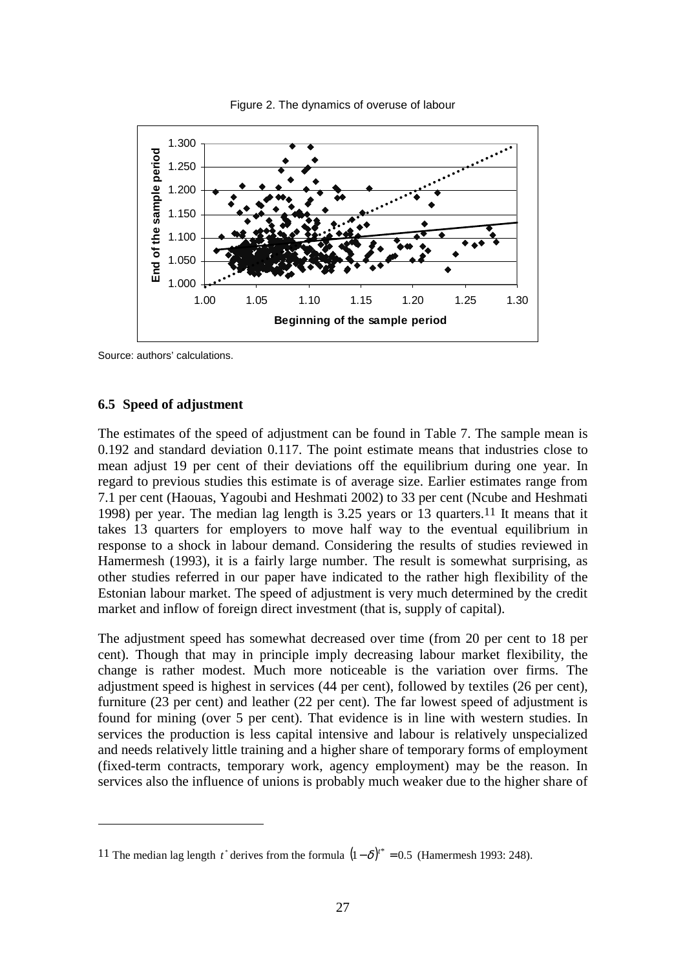

Figure 2. The dynamics of overuse of labour

Source: authors' calculations.

#### **6.5 Speed of adjustment**

The estimates of the speed of adjustment can be found in Table 7. The sample mean is 0.192 and standard deviation 0.117. The point estimate means that industries close to mean adjust 19 per cent of their deviations off the equilibrium during one year. In regard to previous studies this estimate is of average size. Earlier estimates range from 7.1 per cent (Haouas, Yagoubi and Heshmati 2002) to 33 per cent (Ncube and Heshmati 1998) per year. The median lag length is 3.25 years or 13 quarters.11 It means that it takes 13 quarters for employers to move half way to the eventual equilibrium in response to a shock in labour demand. Considering the results of studies reviewed in Hamermesh (1993), it is a fairly large number. The result is somewhat surprising, as other studies referred in our paper have indicated to the rather high flexibility of the Estonian labour market. The speed of adjustment is very much determined by the credit market and inflow of foreign direct investment (that is, supply of capital).

The adjustment speed has somewhat decreased over time (from 20 per cent to 18 per cent). Though that may in principle imply decreasing labour market flexibility, the change is rather modest. Much more noticeable is the variation over firms. The adjustment speed is highest in services (44 per cent), followed by textiles (26 per cent), furniture (23 per cent) and leather (22 per cent). The far lowest speed of adjustment is found for mining (over 5 per cent). That evidence is in line with western studies. In services the production is less capital intensive and labour is relatively unspecialized and needs relatively little training and a higher share of temporary forms of employment (fixed-term contracts, temporary work, agency employment) may be the reason. In services also the influence of unions is probably much weaker due to the higher share of

<sup>11</sup> The median lag length  $t^*$  derives from the formula  $(1 - \delta)^{t^*} = 0.5$  (Hamermesh 1993: 248).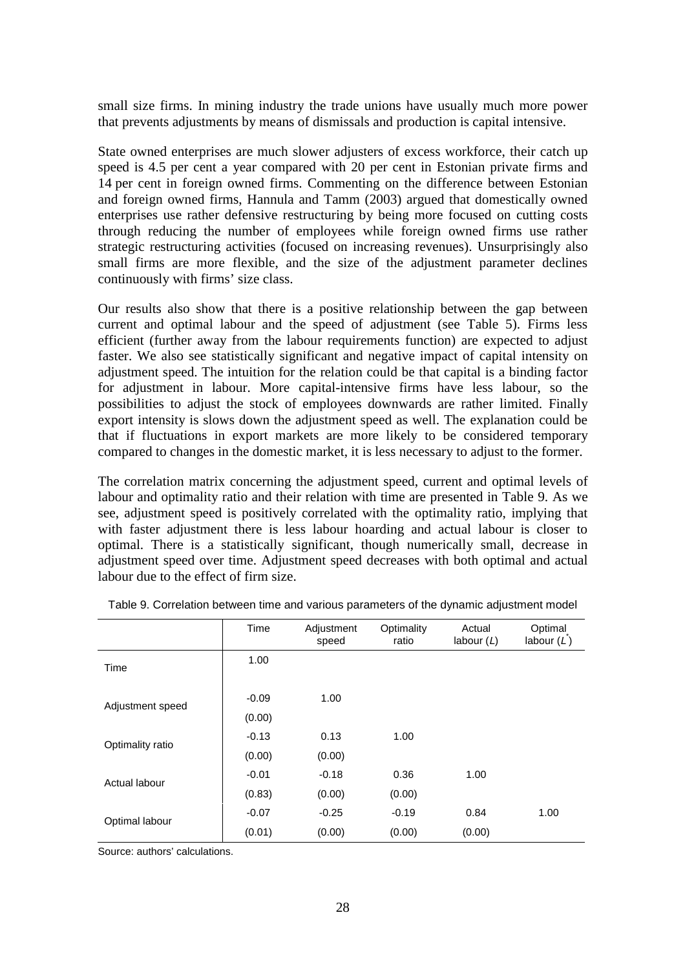small size firms. In mining industry the trade unions have usually much more power that prevents adjustments by means of dismissals and production is capital intensive.

State owned enterprises are much slower adjusters of excess workforce, their catch up speed is 4.5 per cent a year compared with 20 per cent in Estonian private firms and 14 per cent in foreign owned firms. Commenting on the difference between Estonian and foreign owned firms, Hannula and Tamm (2003) argued that domestically owned enterprises use rather defensive restructuring by being more focused on cutting costs through reducing the number of employees while foreign owned firms use rather strategic restructuring activities (focused on increasing revenues). Unsurprisingly also small firms are more flexible, and the size of the adjustment parameter declines continuously with firms' size class.

Our results also show that there is a positive relationship between the gap between current and optimal labour and the speed of adjustment (see Table 5). Firms less efficient (further away from the labour requirements function) are expected to adjust faster. We also see statistically significant and negative impact of capital intensity on adjustment speed. The intuition for the relation could be that capital is a binding factor for adjustment in labour. More capital-intensive firms have less labour, so the possibilities to adjust the stock of employees downwards are rather limited. Finally export intensity is slows down the adjustment speed as well. The explanation could be that if fluctuations in export markets are more likely to be considered temporary compared to changes in the domestic market, it is less necessary to adjust to the former.

The correlation matrix concerning the adjustment speed, current and optimal levels of labour and optimality ratio and their relation with time are presented in Table 9. As we see, adjustment speed is positively correlated with the optimality ratio, implying that with faster adjustment there is less labour hoarding and actual labour is closer to optimal. There is a statistically significant, though numerically small, decrease in adjustment speed over time. Adjustment speed decreases with both optimal and actual labour due to the effect of firm size.

|                  | Time    | Adjustment<br>speed | Optimality<br>ratio | Actual<br>labour $(L)$ | Optimal<br>labour $(L)$ |
|------------------|---------|---------------------|---------------------|------------------------|-------------------------|
| Time             | 1.00    |                     |                     |                        |                         |
| Adjustment speed | $-0.09$ | 1.00                |                     |                        |                         |
|                  | (0.00)  |                     |                     |                        |                         |
| Optimality ratio | $-0.13$ | 0.13                | 1.00                |                        |                         |
|                  | (0.00)  | (0.00)              |                     |                        |                         |
| Actual labour    | $-0.01$ | $-0.18$             | 0.36                | 1.00                   |                         |
|                  | (0.83)  | (0.00)              | (0.00)              |                        |                         |
| Optimal labour   | $-0.07$ | $-0.25$             | $-0.19$             | 0.84                   | 1.00                    |
|                  | (0.01)  | (0.00)              | (0.00)              | (0.00)                 |                         |

|  | Table 9. Correlation between time and various parameters of the dynamic adjustment model |
|--|------------------------------------------------------------------------------------------|
|--|------------------------------------------------------------------------------------------|

Source: authors' calculations.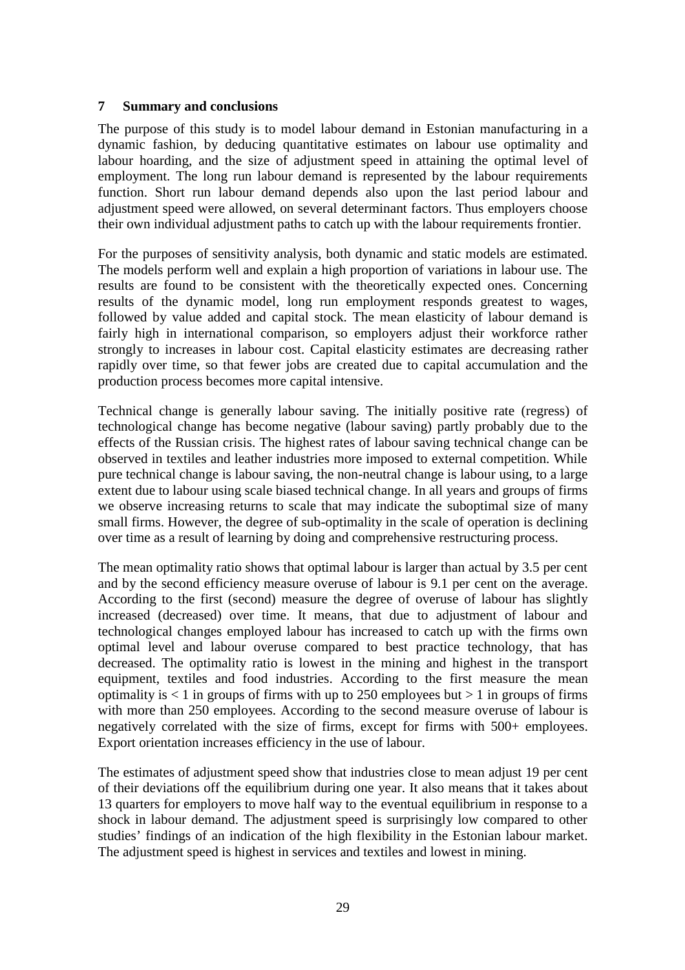#### **7 Summary and conclusions**

The purpose of this study is to model labour demand in Estonian manufacturing in a dynamic fashion, by deducing quantitative estimates on labour use optimality and labour hoarding, and the size of adjustment speed in attaining the optimal level of employment. The long run labour demand is represented by the labour requirements function. Short run labour demand depends also upon the last period labour and adjustment speed were allowed, on several determinant factors. Thus employers choose their own individual adjustment paths to catch up with the labour requirements frontier.

For the purposes of sensitivity analysis, both dynamic and static models are estimated. The models perform well and explain a high proportion of variations in labour use. The results are found to be consistent with the theoretically expected ones. Concerning results of the dynamic model, long run employment responds greatest to wages, followed by value added and capital stock. The mean elasticity of labour demand is fairly high in international comparison, so employers adjust their workforce rather strongly to increases in labour cost. Capital elasticity estimates are decreasing rather rapidly over time, so that fewer jobs are created due to capital accumulation and the production process becomes more capital intensive.

Technical change is generally labour saving. The initially positive rate (regress) of technological change has become negative (labour saving) partly probably due to the effects of the Russian crisis. The highest rates of labour saving technical change can be observed in textiles and leather industries more imposed to external competition. While pure technical change is labour saving, the non-neutral change is labour using, to a large extent due to labour using scale biased technical change. In all years and groups of firms we observe increasing returns to scale that may indicate the suboptimal size of many small firms. However, the degree of sub-optimality in the scale of operation is declining over time as a result of learning by doing and comprehensive restructuring process.

The mean optimality ratio shows that optimal labour is larger than actual by 3.5 per cent and by the second efficiency measure overuse of labour is 9.1 per cent on the average. According to the first (second) measure the degree of overuse of labour has slightly increased (decreased) over time. It means, that due to adjustment of labour and technological changes employed labour has increased to catch up with the firms own optimal level and labour overuse compared to best practice technology, that has decreased. The optimality ratio is lowest in the mining and highest in the transport equipment, textiles and food industries. According to the first measure the mean optimality is  $\langle 1 \rangle$  in groups of firms with up to 250 employees but  $> 1$  in groups of firms with more than 250 employees. According to the second measure overuse of labour is negatively correlated with the size of firms, except for firms with 500+ employees. Export orientation increases efficiency in the use of labour.

The estimates of adjustment speed show that industries close to mean adjust 19 per cent of their deviations off the equilibrium during one year. It also means that it takes about 13 quarters for employers to move half way to the eventual equilibrium in response to a shock in labour demand. The adjustment speed is surprisingly low compared to other studies' findings of an indication of the high flexibility in the Estonian labour market. The adjustment speed is highest in services and textiles and lowest in mining.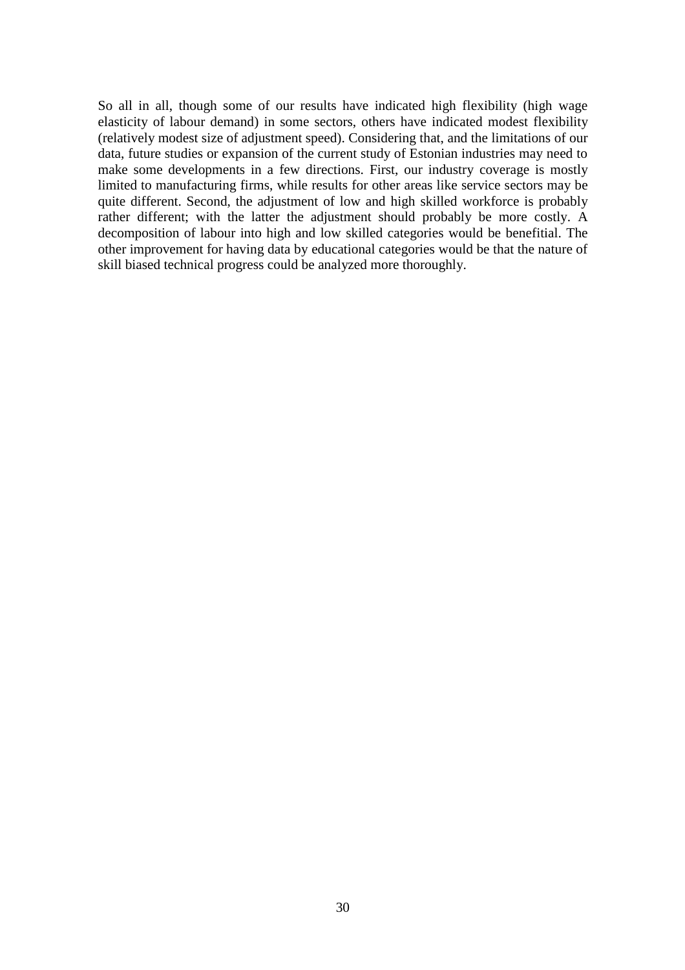So all in all, though some of our results have indicated high flexibility (high wage elasticity of labour demand) in some sectors, others have indicated modest flexibility (relatively modest size of adjustment speed). Considering that, and the limitations of our data, future studies or expansion of the current study of Estonian industries may need to make some developments in a few directions. First, our industry coverage is mostly limited to manufacturing firms, while results for other areas like service sectors may be quite different. Second, the adjustment of low and high skilled workforce is probably rather different; with the latter the adjustment should probably be more costly. A decomposition of labour into high and low skilled categories would be benefitial. The other improvement for having data by educational categories would be that the nature of skill biased technical progress could be analyzed more thoroughly.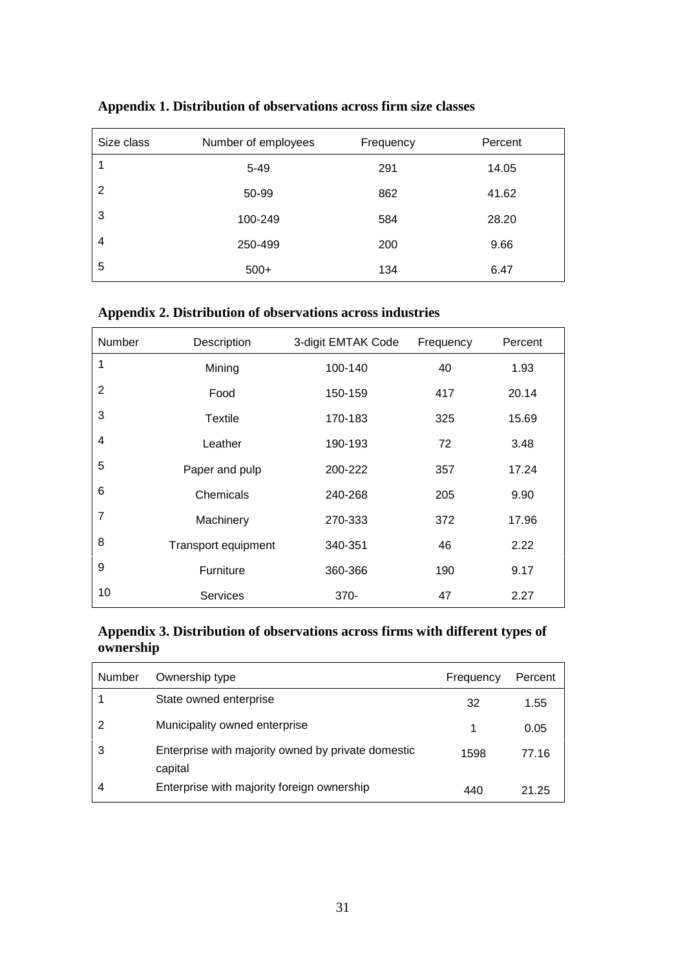| Size class | Number of employees | Frequency | Percent |
|------------|---------------------|-----------|---------|
|            | $5 - 49$            | 291       | 14.05   |
| 2          | 50-99               | 862       | 41.62   |
| 3          | 100-249             | 584       | 28.20   |
| 4          | 250-499             | 200       | 9.66    |
| 5          | $500+$              | 134       | 6.47    |

**Appendix 1. Distribution of observations across firm size classes**

#### **Appendix 2. Distribution of observations across industries**

| Number         | Description         | 3-digit EMTAK Code | Frequency | Percent |
|----------------|---------------------|--------------------|-----------|---------|
| 1              | Mining              | 100-140            | 40        | 1.93    |
| 2              | Food                | 150-159            | 417       | 20.14   |
| 3              | Textile             | 170-183            | 325       | 15.69   |
| 4              | Leather             | 190-193            | 72        | 3.48    |
| 5              | Paper and pulp      | 200-222            | 357       | 17.24   |
| 6              | Chemicals           | 240-268            | 205       | 9.90    |
| $\overline{7}$ | Machinery           | 270-333            | 372       | 17.96   |
| 8              | Transport equipment | 340-351            | 46        | 2.22    |
| 9              | Furniture           | 360-366            | 190       | 9.17    |
| 10             | <b>Services</b>     | $370 -$            | 47        | 2.27    |

**Appendix 3. Distribution of observations across firms with different types of ownership**

| Number | Ownership type                                                | Frequency | Percent |
|--------|---------------------------------------------------------------|-----------|---------|
|        | State owned enterprise                                        | 32        | 1.55    |
| 2      | Municipality owned enterprise                                 |           | 0.05    |
|        | Enterprise with majority owned by private domestic<br>capital | 1598      | 77.16   |
|        | Enterprise with majority foreign ownership                    | 440       | 21.25   |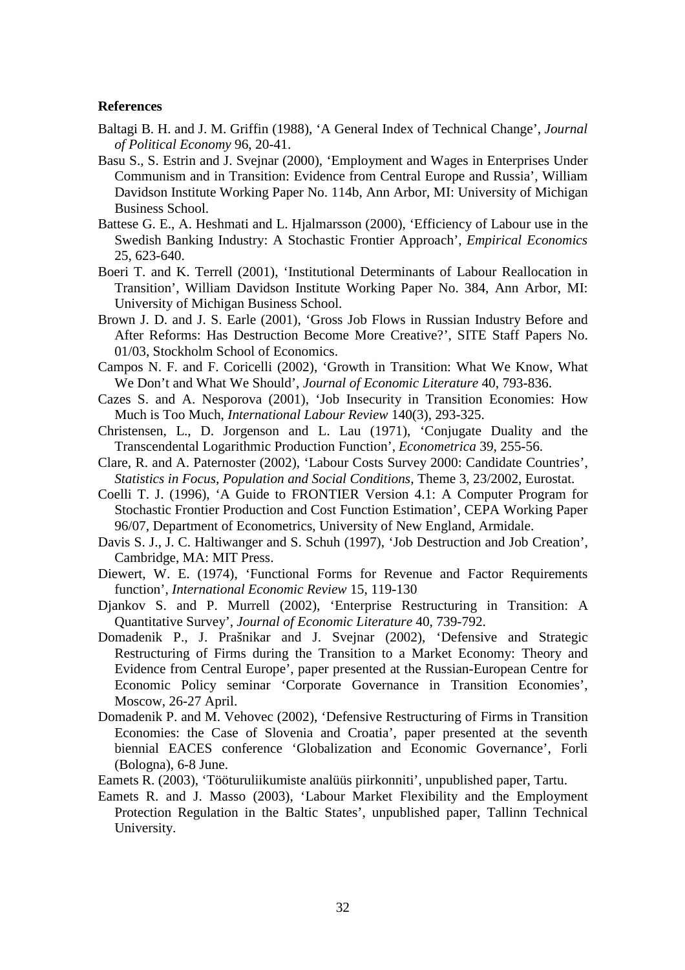#### **References**

- Baltagi B. H. and J. M. Griffin (1988), 'A General Index of Technical Change', *Journal of Political Economy* 96, 20-41.
- Basu S., S. Estrin and J. Svejnar (2000), 'Employment and Wages in Enterprises Under Communism and in Transition: Evidence from Central Europe and Russia', William Davidson Institute Working Paper No. 114b, Ann Arbor, MI: University of Michigan Business School.
- Battese G. E., A. Heshmati and L. Hjalmarsson (2000), 'Efficiency of Labour use in the Swedish Banking Industry: A Stochastic Frontier Approach', *Empirical Economics* 25, 623-640.
- Boeri T. and K. Terrell (2001), 'Institutional Determinants of Labour Reallocation in Transition', William Davidson Institute Working Paper No. 384, Ann Arbor, MI: University of Michigan Business School.
- Brown J. D. and J. S. Earle (2001), 'Gross Job Flows in Russian Industry Before and After Reforms: Has Destruction Become More Creative?', SITE Staff Papers No. 01/03, Stockholm School of Economics.
- Campos N. F. and F. Coricelli (2002), 'Growth in Transition: What We Know, What We Don't and What We Should', *Journal of Economic Literature* 40, 793-836.
- Cazes S. and A. Nesporova (2001), 'Job Insecurity in Transition Economies: How Much is Too Much, *International Labour Review* 140(3), 293-325.
- Christensen, L., D. Jorgenson and L. Lau (1971), 'Conjugate Duality and the Transcendental Logarithmic Production Function', *Econometrica* 39, 255-56.
- Clare, R. and A. Paternoster (2002), 'Labour Costs Survey 2000: Candidate Countries', *Statistics in Focus, Population and Social Conditions*, Theme 3, 23/2002, Eurostat.
- Coelli T. J. (1996), 'A Guide to FRONTIER Version 4.1: A Computer Program for Stochastic Frontier Production and Cost Function Estimation', CEPA Working Paper 96/07, Department of Econometrics, University of New England, Armidale.
- Davis S. J., J. C. Haltiwanger and S. Schuh (1997), 'Job Destruction and Job Creation', Cambridge, MA: MIT Press.
- Diewert, W. E. (1974), 'Functional Forms for Revenue and Factor Requirements function', *International Economic Review* 15, 119-130
- Djankov S. and P. Murrell (2002), 'Enterprise Restructuring in Transition: A Quantitative Survey', *Journal of Economic Literature* 40, 739-792.
- Domadenik P., J. Prašnikar and J. Svejnar (2002), 'Defensive and Strategic Restructuring of Firms during the Transition to a Market Economy: Theory and Evidence from Central Europe', paper presented at the Russian-European Centre for Economic Policy seminar 'Corporate Governance in Transition Economies', Moscow, 26-27 April.
- Domadenik P. and M. Vehovec (2002), 'Defensive Restructuring of Firms in Transition Economies: the Case of Slovenia and Croatia', paper presented at the seventh biennial EACES conference 'Globalization and Economic Governance', Forli (Bologna), 6-8 June.
- Eamets R. (2003), 'Tööturuliikumiste analüüs piirkonniti', unpublished paper, Tartu.
- Eamets R. and J. Masso (2003), 'Labour Market Flexibility and the Employment Protection Regulation in the Baltic States', unpublished paper, Tallinn Technical University.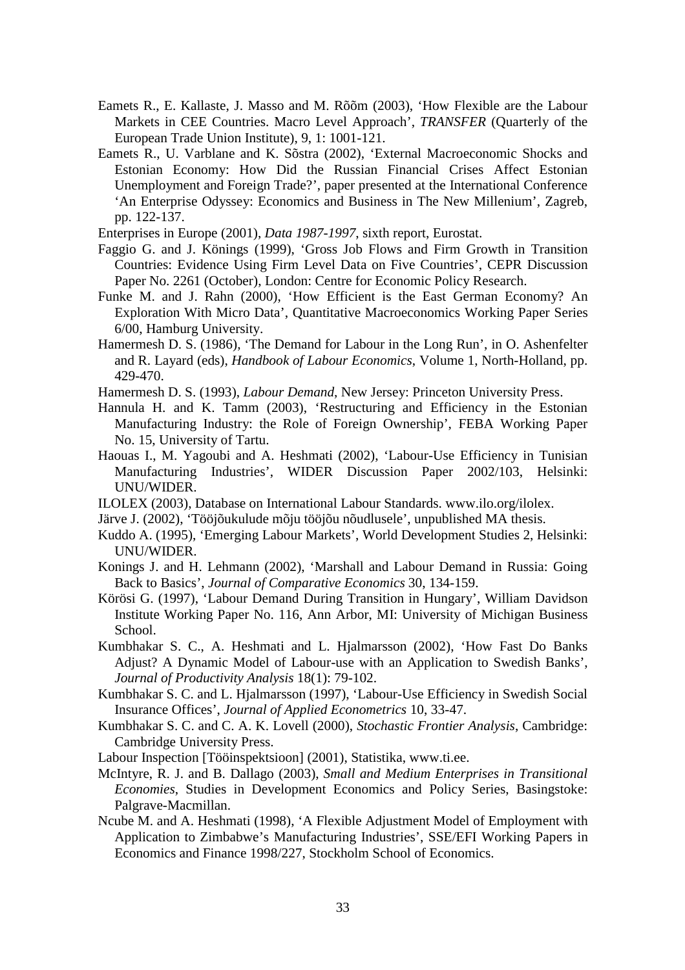- Eamets R., E. Kallaste, J. Masso and M. Rõõm (2003), 'How Flexible are the Labour Markets in CEE Countries. Macro Level Approach', *TRANSFER* (Quarterly of the European Trade Union Institute), 9, 1: 1001-121.
- Eamets R., U. Varblane and K. Sõstra (2002), 'External Macroeconomic Shocks and Estonian Economy: How Did the Russian Financial Crises Affect Estonian Unemployment and Foreign Trade?', paper presented at the International Conference 'An Enterprise Odyssey: Economics and Business in The New Millenium', Zagreb, pp. 122-137.
- Enterprises in Europe (2001), *Data 1987-1997*, sixth report, Eurostat.
- Faggio G. and J. Könings (1999), 'Gross Job Flows and Firm Growth in Transition Countries: Evidence Using Firm Level Data on Five Countries', CEPR Discussion Paper No. 2261 (October), London: Centre for Economic Policy Research.
- Funke M. and J. Rahn (2000), 'How Efficient is the East German Economy? An Exploration With Micro Data', Quantitative Macroeconomics Working Paper Series 6/00, Hamburg University.
- Hamermesh D. S. (1986), 'The Demand for Labour in the Long Run', in O. Ashenfelter and R. Layard (eds), *Handbook of Labour Economics*, Volume 1, North-Holland, pp. 429-470.
- Hamermesh D. S. (1993), *Labour Demand*, New Jersey: Princeton University Press.
- Hannula H. and K. Tamm (2003), 'Restructuring and Efficiency in the Estonian Manufacturing Industry: the Role of Foreign Ownership', FEBA Working Paper No. 15, University of Tartu.
- Haouas I., M. Yagoubi and A. Heshmati (2002), 'Labour-Use Efficiency in Tunisian Manufacturing Industries', WIDER Discussion Paper 2002/103, Helsinki: UNU/WIDER.
- ILOLEX (2003), Database on International Labour Standards. www.ilo.org/ilolex.
- Järve J. (2002), 'Tööjõukulude mõju tööjõu nõudlusele', unpublished MA thesis.
- Kuddo A. (1995), 'Emerging Labour Markets', World Development Studies 2, Helsinki: UNU/WIDER.
- Konings J. and H. Lehmann (2002), 'Marshall and Labour Demand in Russia: Going Back to Basics', *Journal of Comparative Economics* 30, 134-159.
- Körösi G. (1997), 'Labour Demand During Transition in Hungary', William Davidson Institute Working Paper No. 116, Ann Arbor, MI: University of Michigan Business School.
- Kumbhakar S. C., A. Heshmati and L. Hjalmarsson (2002), 'How Fast Do Banks Adjust? A Dynamic Model of Labour-use with an Application to Swedish Banks', *Journal of Productivity Analysis* 18(1): 79-102.
- Kumbhakar S. C. and L. Hjalmarsson (1997), 'Labour-Use Efficiency in Swedish Social Insurance Offices', *Journal of Applied Econometrics* 10, 33-47.
- Kumbhakar S. C. and C. A. K. Lovell (2000), *Stochastic Frontier Analysis*, Cambridge: Cambridge University Press.
- Labour Inspection [Tööinspektsioon] (2001), Statistika, www.ti.ee.
- McIntyre, R. J. and B. Dallago (2003), *Small and Medium Enterprises in Transitional Economies*, Studies in Development Economics and Policy Series, Basingstoke: Palgrave-Macmillan.
- Ncube M. and A. Heshmati (1998), 'A Flexible Adjustment Model of Employment with Application to Zimbabwe's Manufacturing Industries', SSE/EFI Working Papers in Economics and Finance 1998/227, Stockholm School of Economics.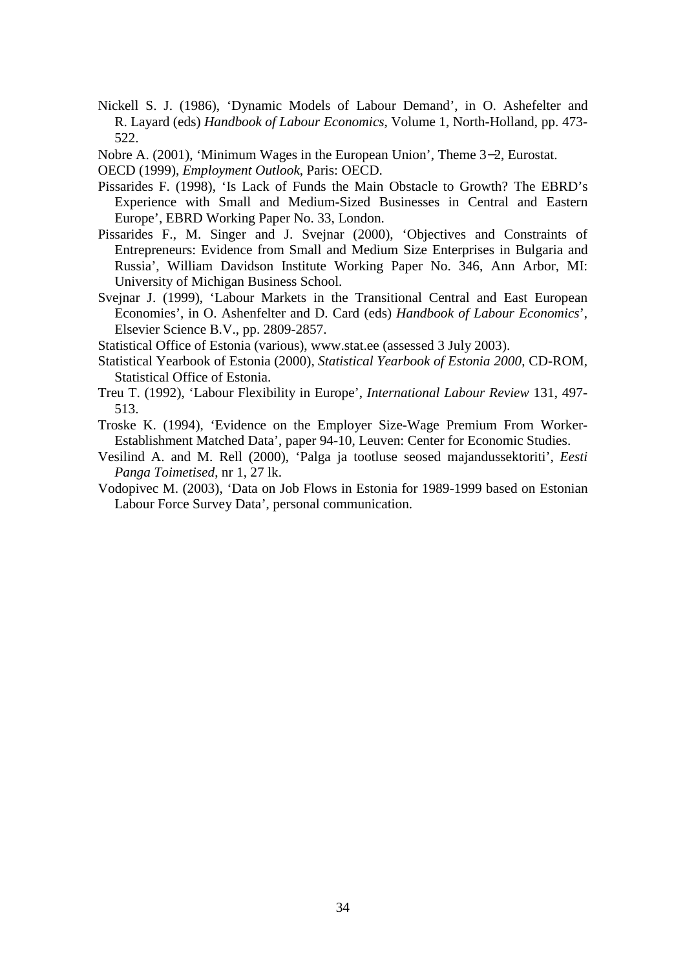- Nickell S. J. (1986), 'Dynamic Models of Labour Demand', in O. Ashefelter and R. Layard (eds) *Handbook of Labour Economics*, Volume 1, North-Holland, pp. 473- 522.
- Nobre A. (2001), 'Minimum Wages in the European Union', Theme 3−2, Eurostat.
- OECD (1999), *Employment Outlook*, Paris: OECD.
- Pissarides F. (1998), 'Is Lack of Funds the Main Obstacle to Growth? The EBRD's Experience with Small and Medium-Sized Businesses in Central and Eastern Europe', EBRD Working Paper No. 33, London.
- Pissarides F., M. Singer and J. Svejnar (2000), 'Objectives and Constraints of Entrepreneurs: Evidence from Small and Medium Size Enterprises in Bulgaria and Russia', William Davidson Institute Working Paper No. 346, Ann Arbor, MI: University of Michigan Business School.
- Svejnar J. (1999), 'Labour Markets in the Transitional Central and East European Economies', in O. Ashenfelter and D. Card (eds) *Handbook of Labour Economics*', Elsevier Science B.V., pp. 2809-2857.
- Statistical Office of Estonia (various), www.stat.ee (assessed 3 July 2003).
- Statistical Yearbook of Estonia (2000), *Statistical Yearbook of Estonia 2000*, CD-ROM, Statistical Office of Estonia.
- Treu T. (1992), 'Labour Flexibility in Europe', *International Labour Review* 131, 497- 513.
- Troske K. (1994), 'Evidence on the Employer Size-Wage Premium From Worker-Establishment Matched Data', paper 94-10, Leuven: Center for Economic Studies.
- Vesilind A. and M. Rell (2000), 'Palga ja tootluse seosed majandussektoriti', *Eesti Panga Toimetised*, nr 1, 27 lk.
- Vodopivec M. (2003), 'Data on Job Flows in Estonia for 1989-1999 based on Estonian Labour Force Survey Data', personal communication.